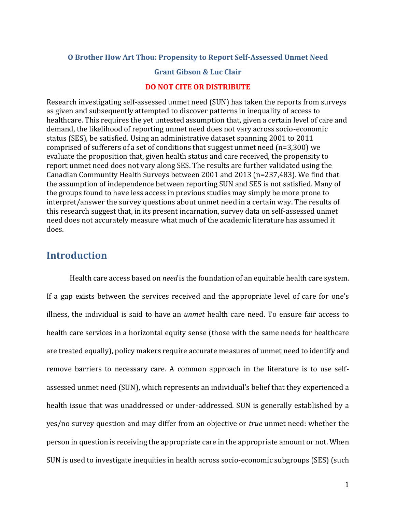### **O Brother How Art Thou: Propensity to Report Self-Assessed Unmet Need**

### **Grant Gibson & Luc Clair**

### **DO NOT CITE OR DISTRIBUTE**

Research investigating self-assessed unmet need (SUN) has taken the reports from surveys as given and subsequently attempted to discover patterns in inequality of access to healthcare. This requires the yet untested assumption that, given a certain level of care and demand, the likelihood of reporting unmet need does not vary across socio-economic status (SES), be satisfied. Using an administrative dataset spanning 2001 to 2011 comprised of sufferers of a set of conditions that suggest unmet need (n=3,300) we evaluate the proposition that, given health status and care received, the propensity to report unmet need does not vary along SES. The results are further validated using the Canadian Community Health Surveys between 2001 and 2013 (n=237,483). We find that the assumption of independence between reporting SUN and SES is not satisfied. Many of the groups found to have less access in previous studies may simply be more prone to interpret/answer the survey questions about unmet need in a certain way. The results of this research suggest that, in its present incarnation, survey data on self-assessed unmet need does not accurately measure what much of the academic literature has assumed it does.

## **Introduction**

Health care access based on *need* is the foundation of an equitable health care system. If a gap exists between the services received and the appropriate level of care for one's illness, the individual is said to have an *unmet* health care need. To ensure fair access to health care services in a horizontal equity sense (those with the same needs for healthcare are treated equally), policy makers require accurate measures of unmet need to identify and remove barriers to necessary care. A common approach in the literature is to use selfassessed unmet need (SUN), which represents an individual's belief that they experienced a health issue that was unaddressed or under-addressed. SUN is generally established by a yes/no survey question and may differ from an objective or *true* unmet need: whether the person in question is receiving the appropriate care in the appropriate amount or not. When SUN is used to investigate inequities in health across socio-economic subgroups (SES) (such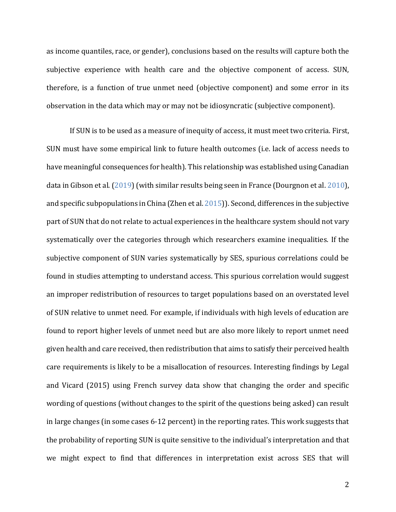as income quantiles, race, or gender), conclusions based on the results will capture both the subjective experience with health care and the objective component of access. SUN, therefore, is a function of true unmet need (objective component) and some error in its observation in the data which may or may not be idiosyncratic (subjective component).

If SUN is to be used as a measure of inequity of access, it must meet two criteria. First, SUN must have some empirical link to future health outcomes (i.e. lack of access needs to have meaningful consequences for health). This relationship was established using Canadian data in Gibson et al. (2019) (with similar results being seen in France (Dourgnon et al. 2010), and specific subpopulations in China (Zhen et al. 2015)). Second, differences in the subjective part of SUN that do not relate to actual experiences in the healthcare system should not vary systematically over the categories through which researchers examine inequalities. If the subjective component of SUN varies systematically by SES, spurious correlations could be found in studies attempting to understand access. This spurious correlation would suggest an improper redistribution of resources to target populations based on an overstated level of SUN relative to unmet need. For example, if individuals with high levels of education are found to report higher levels of unmet need but are also more likely to report unmet need given health and care received, then redistribution that aims to satisfy their perceived health care requirements is likely to be a misallocation of resources. Interesting findings by Legal and Vicard (2015) using French survey data show that changing the order and specific wording of questions (without changes to the spirit of the questions being asked) can result in large changes (in some cases 6-12 percent) in the reporting rates. This work suggests that the probability of reporting SUN is quite sensitive to the individual's interpretation and that we might expect to find that differences in interpretation exist across SES that will

2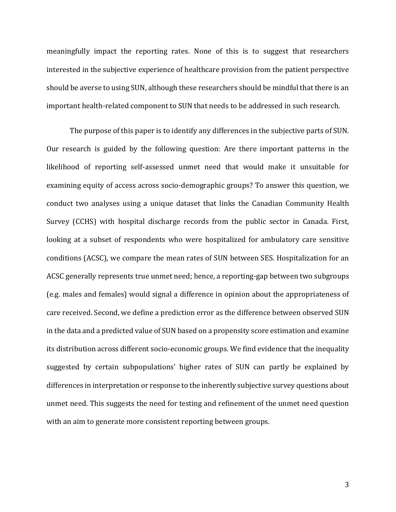meaningfully impact the reporting rates. None of this is to suggest that researchers interested in the subjective experience of healthcare provision from the patient perspective should be averse to using SUN, although these researchers should be mindful that there is an important health-related component to SUN that needs to be addressed in such research.

The purpose of this paper is to identify any differences in the subjective parts of SUN. Our research is guided by the following question: Are there important patterns in the likelihood of reporting self-assessed unmet need that would make it unsuitable for examining equity of access across socio-demographic groups? To answer this question, we conduct two analyses using a unique dataset that links the Canadian Community Health Survey (CCHS) with hospital discharge records from the public sector in Canada. First, looking at a subset of respondents who were hospitalized for ambulatory care sensitive conditions (ACSC), we compare the mean rates of SUN between SES. Hospitalization for an ACSC generally represents true unmet need; hence, a reporting-gap between two subgroups (e.g. males and females) would signal a difference in opinion about the appropriateness of care received. Second, we define a prediction error as the difference between observed SUN in the data and a predicted value of SUN based on a propensity score estimation and examine its distribution across different socio-economic groups. We find evidence that the inequality suggested by certain subpopulations' higher rates of SUN can partly be explained by differences in interpretation or response to the inherently subjective survey questions about unmet need. This suggests the need for testing and refinement of the unmet need question with an aim to generate more consistent reporting between groups.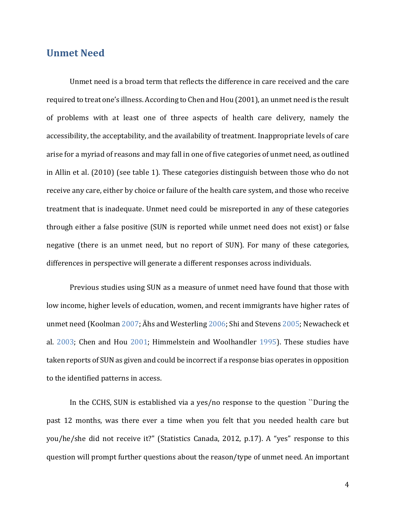# **Unmet Need**

Unmet need is a broad term that reflects the difference in care received and the care required to treat one's illness. According to Chen and Hou (2001), an unmet need is the result of problems with at least one of three aspects of health care delivery, namely the accessibility, the acceptability, and the availability of treatment. Inappropriate levels of care arise for a myriad of reasons and may fall in one of five categories of unmet need, as outlined in Allin et al. (2010) (see table 1). These categories distinguish between those who do not receive any care, either by choice or failure of the health care system, and those who receive treatment that is inadequate. Unmet need could be misreported in any of these categories through either a false positive (SUN is reported while unmet need does not exist) or false negative (there is an unmet need, but no report of SUN). For many of these categories, differences in perspective will generate a different responses across individuals.

Previous studies using SUN as a measure of unmet need have found that those with low income, higher levels of education, women, and recent immigrants have higher rates of unmet need (Koolman 2007; Ähs and Westerling 2006; Shi and Stevens 2005; Newacheck et al. 2003; Chen and Hou 2001; Himmelstein and Woolhandler 1995). These studies have taken reports of SUN as given and could be incorrect if a response bias operates in opposition to the identified patterns in access.

In the CCHS, SUN is established via a yes/no response to the question ``During the past 12 months, was there ever a time when you felt that you needed health care but you/he/she did not receive it?" (Statistics Canada, 2012, p.17). A "yes" response to this question will prompt further questions about the reason/type of unmet need. An important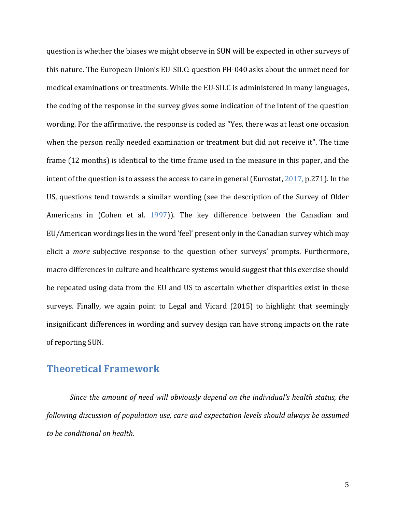question is whether the biases we might observe in SUN will be expected in other surveys of this nature. The European Union's EU-SILC: question PH-040 asks about the unmet need for medical examinations or treatments. While the EU-SILC is administered in many languages, the coding of the response in the survey gives some indication of the intent of the question wording. For the affirmative, the response is coded as "Yes, there was at least one occasion when the person really needed examination or treatment but did not receive it". The time frame (12 months) is identical to the time frame used in the measure in this paper, and the intent of the question is to assess the access to care in general (Eurostat, 2017, p.271). In the US, questions tend towards a similar wording (see the description of the Survey of Older Americans in (Cohen et al. 1997)). The key difference between the Canadian and EU/American wordings lies in the word 'feel' present only in the Canadian survey which may elicit a *more* subjective response to the question other surveys' prompts. Furthermore, macro differences in culture and healthcare systems would suggest that this exercise should be repeated using data from the EU and US to ascertain whether disparities exist in these surveys. Finally, we again point to Legal and Vicard (2015) to highlight that seemingly insignificant differences in wording and survey design can have strong impacts on the rate of reporting SUN.

# **Theoretical Framework**

*Since the amount of need will obviously depend on the individual's health status, the following discussion of population use, care and expectation levels should always be assumed to be conditional on health.*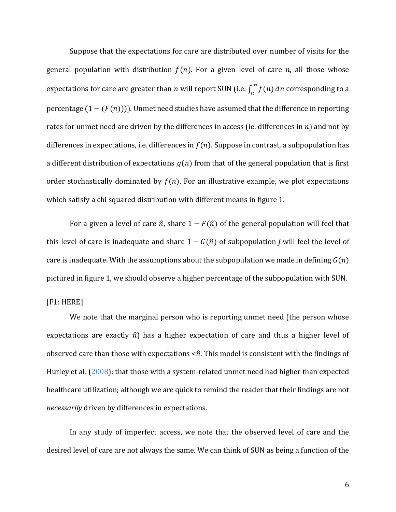Suppose that the expectations for care are distributed over number of visits for the general population with distribution  $f(n)$ . For a given level of care n, all those whose expectations for care are greater than  $n$  will report SUN (i.e.  $\int_{n}^{\infty} f(n)$  $\int_{n}^{\infty} f(n) \, dn$  corresponding to a percentage  $(1 - (F(n)))$ . Unmet need studies have assumed that the difference in reporting rates for unmet need are driven by the differences in access (ie. differences in  $n$ ) and not by differences in expectations, i.e. differences in  $f(n)$ . Suppose in contrast, a subpopulation has a different distribution of expectations  $g(n)$  from that of the general population that is first order stochastically dominated by  $f(n)$ . For an illustrative example, we plot expectations which satisfy a chi squared distribution with different means in figure 1.

For a given a level of care  $\hat{n}$ , share  $1 - F(\hat{n})$  of the general population will feel that this level of care is inadequate and share  $1 - G(\hat{n})$  of subpopulation *j* will feel the level of care is inadequate. With the assumptions about the subpopulation we made in defining  $G(n)$ pictured in figure 1, we should observe a higher percentage of the subpopulation with SUN.

[F1: HERE]

We note that the marginal person who is reporting unmet need (the person whose expectations are exactly  $\hat{n}$ ) has a higher expectation of care and thus a higher level of observed care than those with expectations  $\leq \hat{n}$ . This model is consistent with the findings of Hurley et al. (2008): that those with a system-related unmet need had higher than expected healthcare utilization; although we are quick to remind the reader that their findings are not *necessarily* driven by differences in expectations.

In any study of imperfect access, we note that the observed level of care and the desired level of care are not always the same. We can think of SUN as being a function of the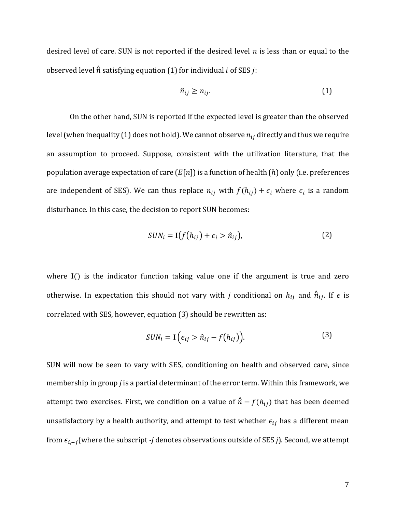desired level of care. SUN is not reported if the desired level  $n$  is less than or equal to the observed level  $\hat{n}$  satisfying equation (1) for individual *i* of SES *j*:

$$
\hat{n}_{ij} \ge n_{ij}.\tag{1}
$$

On the other hand, SUN is reported if the expected level is greater than the observed level (when inequality (1) does not hold). We cannot observe  $n_{ij}$  directly and thus we require an assumption to proceed. Suppose, consistent with the utilization literature, that the population average expectation of care  $(E[n])$  is a function of health  $(h)$  only (i.e. preferences are independent of SES). We can thus replace  $n_{ij}$  with  $f(h_{ij}) + \epsilon_i$  where  $\epsilon_i$  is a random disturbance. In this case, the decision to report SUN becomes:

$$
SUM_i = \mathbf{I}(f(h_{ij}) + \epsilon_i > \hat{n}_{ij}),
$$
\n(2)

where  $I()$  is the indicator function taking value one if the argument is true and zero otherwise. In expectation this should not vary with *j* conditional on  $h_{ij}$  and  $\hat{n}_{ij}$ . If  $\epsilon$  is correlated with SES, however, equation (3) should be rewritten as:

$$
SUN_i = \mathbf{I}\Big(\epsilon_{ij} > \hat{n}_{ij} - f(h_{ij})\Big). \tag{3}
$$

SUN will now be seen to vary with SES, conditioning on health and observed care, since membership in group *j* is a partial determinant of the error term. Within this framework, we attempt two exercises. First, we condition on a value of  $\hat{n} - f(h_{ij})$  that has been deemed unsatisfactory by a health authority, and attempt to test whether  $\epsilon_{ij}$  has a different mean from  $\epsilon_{i,-j}$ (where the subscript -*j* denotes observations outside of SES *j*). Second, we attempt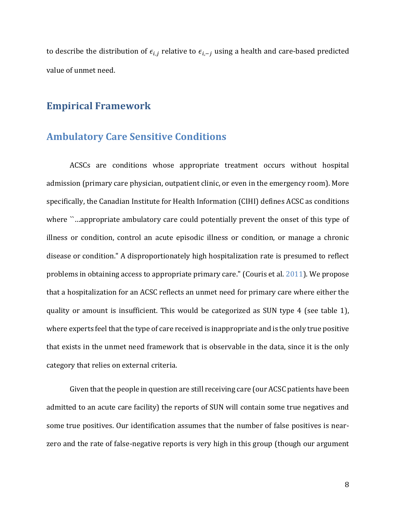to describe the distribution of  $\epsilon_{i,j}$  relative to  $\epsilon_{i,-j}$  using a health and care-based predicted value of unmet need.

# **Empirical Framework**

## **Ambulatory Care Sensitive Conditions**

ACSCs are conditions whose appropriate treatment occurs without hospital admission (primary care physician, outpatient clinic, or even in the emergency room). More specifically, the Canadian Institute for Health Information (CIHI) defines ACSC as conditions where ``…appropriate ambulatory care could potentially prevent the onset of this type of illness or condition, control an acute episodic illness or condition, or manage a chronic disease or condition." A disproportionately high hospitalization rate is presumed to reflect problems in obtaining access to appropriate primary care." (Couris et al. 2011). We propose that a hospitalization for an ACSC reflects an unmet need for primary care where either the quality or amount is insufficient. This would be categorized as SUN type 4 (see table 1), where experts feel that the type of care received is inappropriate and is the only true positive that exists in the unmet need framework that is observable in the data, since it is the only category that relies on external criteria.

Given that the people in question are still receiving care (our ACSC patients have been admitted to an acute care facility) the reports of SUN will contain some true negatives and some true positives. Our identification assumes that the number of false positives is nearzero and the rate of false-negative reports is very high in this group (though our argument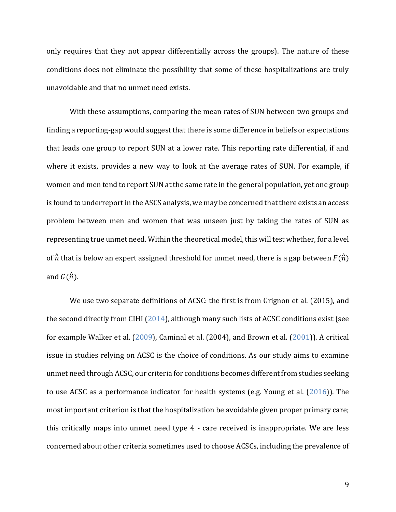only requires that they not appear differentially across the groups). The nature of these conditions does not eliminate the possibility that some of these hospitalizations are truly unavoidable and that no unmet need exists.

With these assumptions, comparing the mean rates of SUN between two groups and finding a reporting-gap would suggest that there is some difference in beliefs or expectations that leads one group to report SUN at a lower rate. This reporting rate differential, if and where it exists, provides a new way to look at the average rates of SUN. For example, if women and men tend to report SUN at the same rate in the general population, yet one group is found to underreport in the ASCS analysis, we may be concerned that there exists an access problem between men and women that was unseen just by taking the rates of SUN as representing true unmet need. Within the theoretical model, this will test whether, for a level of  $\hat{n}$  that is below an expert assigned threshold for unmet need, there is a gap between  $F(\hat{n})$ and  $G(\hat{n})$ .

We use two separate definitions of ACSC: the first is from Grignon et al. (2015), and the second directly from CIHI (2014), although many such lists of ACSC conditions exist (see for example Walker et al. (2009), Caminal et al. (2004), and Brown et al. (2001)). A critical issue in studies relying on ACSC is the choice of conditions. As our study aims to examine unmet need through ACSC, our criteria for conditions becomes different from studies seeking to use ACSC as a performance indicator for health systems (e.g. Young et al. (2016)). The most important criterion is that the hospitalization be avoidable given proper primary care; this critically maps into unmet need type 4 - care received is inappropriate. We are less concerned about other criteria sometimes used to choose ACSCs, including the prevalence of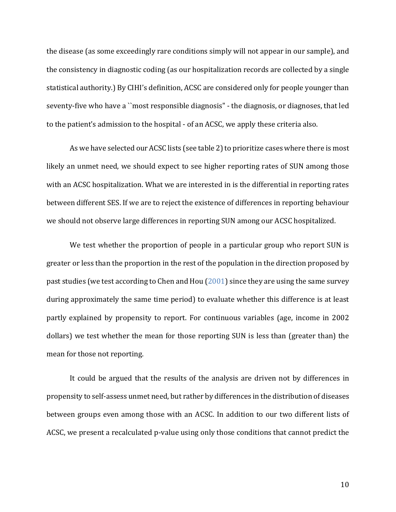the disease (as some exceedingly rare conditions simply will not appear in our sample), and the consistency in diagnostic coding (as our hospitalization records are collected by a single statistical authority.) By CIHI's definition, ACSC are considered only for people younger than seventy-five who have a ``most responsible diagnosis" - the diagnosis, or diagnoses, that led to the patient's admission to the hospital - of an ACSC, we apply these criteria also.

As we have selected our ACSC lists (see table 2) to prioritize cases where there is most likely an unmet need, we should expect to see higher reporting rates of SUN among those with an ACSC hospitalization. What we are interested in is the differential in reporting rates between different SES. If we are to reject the existence of differences in reporting behaviour we should not observe large differences in reporting SUN among our ACSC hospitalized.

We test whether the proportion of people in a particular group who report SUN is greater or less than the proportion in the rest of the population in the direction proposed by past studies (we test according to Chen and Hou (2001) since they are using the same survey during approximately the same time period) to evaluate whether this difference is at least partly explained by propensity to report. For continuous variables (age, income in 2002 dollars) we test whether the mean for those reporting SUN is less than (greater than) the mean for those not reporting.

It could be argued that the results of the analysis are driven not by differences in propensity to self-assess unmet need, but rather by differences in the distribution of diseases between groups even among those with an ACSC. In addition to our two different lists of ACSC, we present a recalculated p-value using only those conditions that cannot predict the

10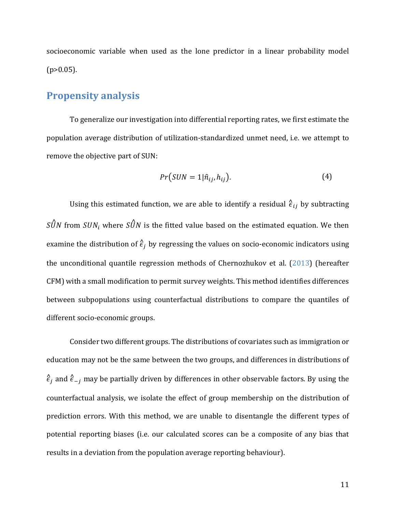socioeconomic variable when used as the lone predictor in a linear probability model  $(p>0.05)$ .

## **Propensity analysis**

To generalize our investigation into differential reporting rates, we first estimate the population average distribution of utilization-standardized unmet need, i.e. we attempt to remove the objective part of SUN:

$$
Pr(SUN = 1 | \hat{n}_{ij}, h_{ij}).
$$
\n(4)

Using this estimated function, we are able to identify a residual  $\hat{\epsilon}_{ij}$  by subtracting  $\hat{SUN}$  from  $SUN_i$  where  $\hat{SUN}$  is the fitted value based on the estimated equation. We then examine the distribution of  $\hat{\epsilon}_i$  by regressing the values on socio-economic indicators using the unconditional quantile regression methods of Chernozhukov et al. (2013) (hereafter CFM) with a small modification to permit survey weights. This method identifies differences between subpopulations using counterfactual distributions to compare the quantiles of different socio-economic groups.

Consider two different groups. The distributions of covariates such as immigration or education may not be the same between the two groups, and differences in distributions of  $\hat{\epsilon}_j$  and  $\hat{\epsilon}_{-j}$  may be partially driven by differences in other observable factors. By using the counterfactual analysis, we isolate the effect of group membership on the distribution of prediction errors. With this method, we are unable to disentangle the different types of potential reporting biases (i.e. our calculated scores can be a composite of any bias that results in a deviation from the population average reporting behaviour).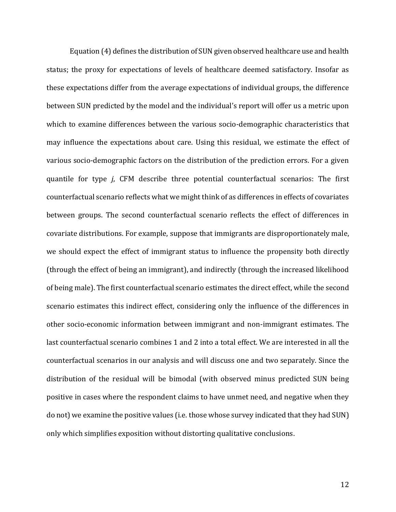Equation (4) defines the distribution of SUN given observed healthcare use and health status; the proxy for expectations of levels of healthcare deemed satisfactory. Insofar as these expectations differ from the average expectations of individual groups, the difference between SUN predicted by the model and the individual's report will offer us a metric upon which to examine differences between the various socio-demographic characteristics that may influence the expectations about care. Using this residual, we estimate the effect of various socio-demographic factors on the distribution of the prediction errors. For a given quantile for type *j*, CFM describe three potential counterfactual scenarios: The first counterfactual scenario reflects what we might think of as differences in effects of covariates between groups. The second counterfactual scenario reflects the effect of differences in covariate distributions. For example, suppose that immigrants are disproportionately male, we should expect the effect of immigrant status to influence the propensity both directly (through the effect of being an immigrant), and indirectly (through the increased likelihood of being male). The first counterfactual scenario estimates the direct effect, while the second scenario estimates this indirect effect, considering only the influence of the differences in other socio-economic information between immigrant and non-immigrant estimates. The last counterfactual scenario combines 1 and 2 into a total effect. We are interested in all the counterfactual scenarios in our analysis and will discuss one and two separately. Since the distribution of the residual will be bimodal (with observed minus predicted SUN being positive in cases where the respondent claims to have unmet need, and negative when they do not) we examine the positive values (i.e. those whose survey indicated that they had SUN) only which simplifies exposition without distorting qualitative conclusions.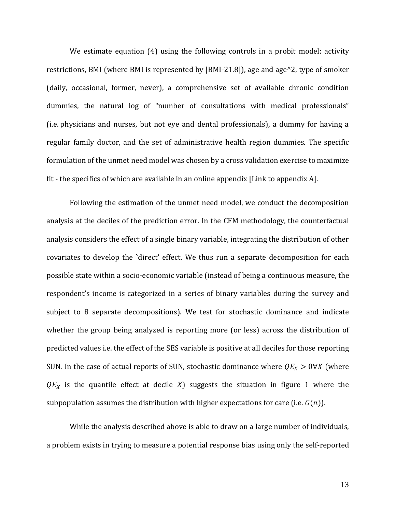We estimate equation (4) using the following controls in a probit model: activity restrictions, BMI (where BMI is represented by |BMI-21.8|), age and age^2, type of smoker (daily, occasional, former, never), a comprehensive set of available chronic condition dummies, the natural log of "number of consultations with medical professionals" (i.e. physicians and nurses, but not eye and dental professionals), a dummy for having a regular family doctor, and the set of administrative health region dummies. The specific formulation of the unmet need model was chosen by a cross validation exercise to maximize fit - the specifics of which are available in an online appendix [Link to appendix A].

Following the estimation of the unmet need model, we conduct the decomposition analysis at the deciles of the prediction error. In the CFM methodology, the counterfactual analysis considers the effect of a single binary variable, integrating the distribution of other covariates to develop the `direct' effect. We thus run a separate decomposition for each possible state within a socio-economic variable (instead of being a continuous measure, the respondent's income is categorized in a series of binary variables during the survey and subject to 8 separate decompositions). We test for stochastic dominance and indicate whether the group being analyzed is reporting more (or less) across the distribution of predicted values i.e. the effect of the SES variable is positive at all deciles for those reporting SUN. In the case of actual reports of SUN, stochastic dominance where  $QE_X > 0 \forall X$  (where  $QE<sub>x</sub>$  is the quantile effect at decile X) suggests the situation in figure 1 where the subpopulation assumes the distribution with higher expectations for care (i.e.  $G(n)$ ).

While the analysis described above is able to draw on a large number of individuals, a problem exists in trying to measure a potential response bias using only the self-reported

13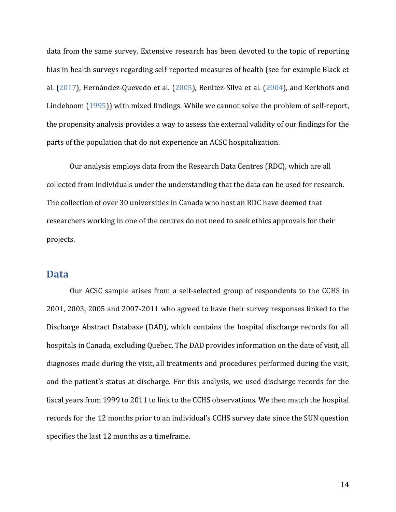data from the same survey. Extensive research has been devoted to the topic of reporting bias in health surveys regarding self-reported measures of health (see for example Black et al. (2017), Hernàndez-Quevedo et al. (2005), Benìtez-Silva et al. (2004), and Kerkhofs and Lindeboom (1995)) with mixed findings. While we cannot solve the problem of self-report, the propensity analysis provides a way to assess the external validity of our findings for the parts of the population that do not experience an ACSC hospitalization.

Our analysis employs data from the Research Data Centres (RDC), which are all collected from individuals under the understanding that the data can be used for research. The collection of over 30 universities in Canada who host an RDC have deemed that researchers working in one of the centres do not need to seek ethics approvals for their projects.

## **Data**

Our ACSC sample arises from a self-selected group of respondents to the CCHS in 2001, 2003, 2005 and 2007-2011 who agreed to have their survey responses linked to the Discharge Abstract Database (DAD), which contains the hospital discharge records for all hospitals in Canada, excluding Quebec. The DAD provides information on the date of visit, all diagnoses made during the visit, all treatments and procedures performed during the visit, and the patient's status at discharge. For this analysis, we used discharge records for the fiscal years from 1999 to 2011 to link to the CCHS observations. We then match the hospital records for the 12 months prior to an individual's CCHS survey date since the SUN question specifies the last 12 months as a timeframe.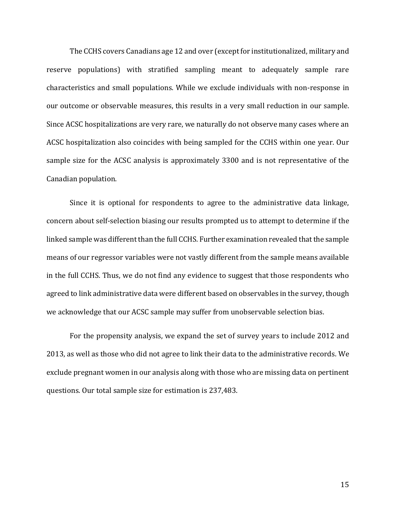The CCHS covers Canadians age 12 and over (except for institutionalized, military and reserve populations) with stratified sampling meant to adequately sample rare characteristics and small populations. While we exclude individuals with non-response in our outcome or observable measures, this results in a very small reduction in our sample. Since ACSC hospitalizations are very rare, we naturally do not observe many cases where an ACSC hospitalization also coincides with being sampled for the CCHS within one year. Our sample size for the ACSC analysis is approximately 3300 and is not representative of the Canadian population.

Since it is optional for respondents to agree to the administrative data linkage, concern about self-selection biasing our results prompted us to attempt to determine if the linked sample was different than the full CCHS. Further examination revealed that the sample means of our regressor variables were not vastly different from the sample means available in the full CCHS. Thus, we do not find any evidence to suggest that those respondents who agreed to link administrative data were different based on observables in the survey, though we acknowledge that our ACSC sample may suffer from unobservable selection bias.

For the propensity analysis, we expand the set of survey years to include 2012 and 2013, as well as those who did not agree to link their data to the administrative records. We exclude pregnant women in our analysis along with those who are missing data on pertinent questions. Our total sample size for estimation is 237,483.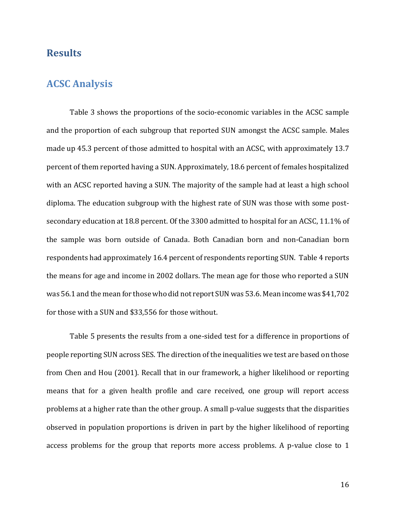# **Results**

## **ACSC Analysis**

Table 3 shows the proportions of the socio-economic variables in the ACSC sample and the proportion of each subgroup that reported SUN amongst the ACSC sample. Males made up 45.3 percent of those admitted to hospital with an ACSC, with approximately 13.7 percent of them reported having a SUN. Approximately, 18.6 percent of females hospitalized with an ACSC reported having a SUN. The majority of the sample had at least a high school diploma. The education subgroup with the highest rate of SUN was those with some postsecondary education at 18.8 percent. Of the 3300 admitted to hospital for an ACSC, 11.1% of the sample was born outside of Canada. Both Canadian born and non-Canadian born respondents had approximately 16.4 percent of respondents reporting SUN. Table 4 reports the means for age and income in 2002 dollars. The mean age for those who reported a SUN was 56.1 and the mean for those who did not report SUN was 53.6. Mean income was \$41,702 for those with a SUN and \$33,556 for those without.

Table 5 presents the results from a one-sided test for a difference in proportions of people reporting SUN across SES. The direction of the inequalities we test are based on those from Chen and Hou (2001). Recall that in our framework, a higher likelihood or reporting means that for a given health profile and care received, one group will report access problems at a higher rate than the other group. A small p-value suggests that the disparities observed in population proportions is driven in part by the higher likelihood of reporting access problems for the group that reports more access problems. A p-value close to 1

16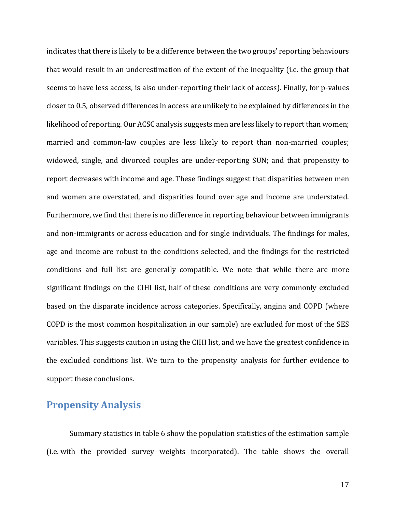indicates that there is likely to be a difference between the two groups' reporting behaviours that would result in an underestimation of the extent of the inequality (i.e. the group that seems to have less access, is also under-reporting their lack of access). Finally, for p-values closer to 0.5, observed differences in access are unlikely to be explained by differences in the likelihood of reporting. Our ACSC analysis suggests men are less likely to report than women; married and common-law couples are less likely to report than non-married couples; widowed, single, and divorced couples are under-reporting SUN; and that propensity to report decreases with income and age. These findings suggest that disparities between men and women are overstated, and disparities found over age and income are understated. Furthermore, we find that there is no difference in reporting behaviour between immigrants and non-immigrants or across education and for single individuals. The findings for males, age and income are robust to the conditions selected, and the findings for the restricted conditions and full list are generally compatible. We note that while there are more significant findings on the CIHI list, half of these conditions are very commonly excluded based on the disparate incidence across categories. Specifically, angina and COPD (where COPD is the most common hospitalization in our sample) are excluded for most of the SES variables. This suggests caution in using the CIHI list, and we have the greatest confidence in the excluded conditions list. We turn to the propensity analysis for further evidence to support these conclusions.

## **Propensity Analysis**

Summary statistics in table 6 show the population statistics of the estimation sample (i.e. with the provided survey weights incorporated). The table shows the overall

17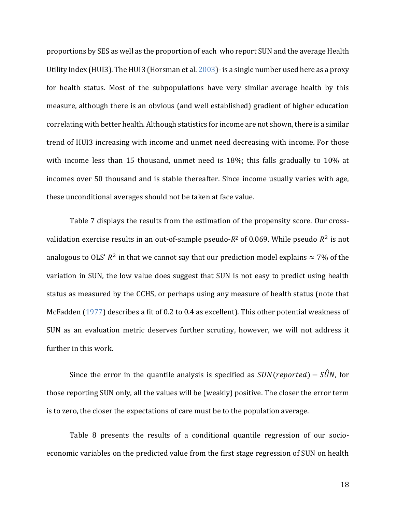proportions by SES as well as the proportion of each who report SUN and the average Health Utility Index (HUI3). The HUI3 (Horsman et al. 2003)- is a single number used here as a proxy for health status. Most of the subpopulations have very similar average health by this measure, although there is an obvious (and well established) gradient of higher education correlating with better health. Although statistics for income are not shown, there is a similar trend of HUI3 increasing with income and unmet need decreasing with income. For those with income less than 15 thousand, unmet need is 18%; this falls gradually to 10% at incomes over 50 thousand and is stable thereafter. Since income usually varies with age, these unconditional averages should not be taken at face value.

Table 7 displays the results from the estimation of the propensity score. Our crossvalidation exercise results in an out-of-sample pseudo- $R^2$  of 0.069. While pseudo  $R^2$  is not analogous to OLS'  $R^2$  in that we cannot say that our prediction model explains  $\approx 7\%$  of the variation in SUN, the low value does suggest that SUN is not easy to predict using health status as measured by the CCHS, or perhaps using any measure of health status (note that McFadden (1977) describes a fit of 0.2 to 0.4 as excellent). This other potential weakness of SUN as an evaluation metric deserves further scrutiny, however, we will not address it further in this work.

Since the error in the quantile analysis is specified as  $SUN(reported) - S\hat{U}N$ , for those reporting SUN only, all the values will be (weakly) positive. The closer the error term is to zero, the closer the expectations of care must be to the population average.

Table 8 presents the results of a conditional quantile regression of our socioeconomic variables on the predicted value from the first stage regression of SUN on health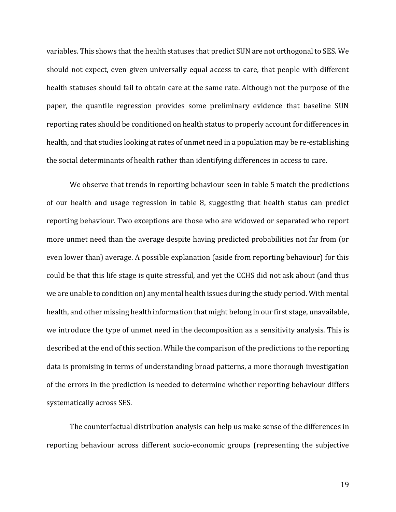variables. This shows that the health statuses that predict SUN are not orthogonal to SES. We should not expect, even given universally equal access to care, that people with different health statuses should fail to obtain care at the same rate. Although not the purpose of the paper, the quantile regression provides some preliminary evidence that baseline SUN reporting rates should be conditioned on health status to properly account for differences in health, and that studies looking at rates of unmet need in a population may be re-establishing the social determinants of health rather than identifying differences in access to care.

We observe that trends in reporting behaviour seen in table 5 match the predictions of our health and usage regression in table 8, suggesting that health status can predict reporting behaviour. Two exceptions are those who are widowed or separated who report more unmet need than the average despite having predicted probabilities not far from (or even lower than) average. A possible explanation (aside from reporting behaviour) for this could be that this life stage is quite stressful, and yet the CCHS did not ask about (and thus we are unable to condition on) any mental health issues during the study period. With mental health, and other missing health information that might belong in our first stage, unavailable, we introduce the type of unmet need in the decomposition as a sensitivity analysis. This is described at the end of this section. While the comparison of the predictions to the reporting data is promising in terms of understanding broad patterns, a more thorough investigation of the errors in the prediction is needed to determine whether reporting behaviour differs systematically across SES.

The counterfactual distribution analysis can help us make sense of the differences in reporting behaviour across different socio-economic groups (representing the subjective

19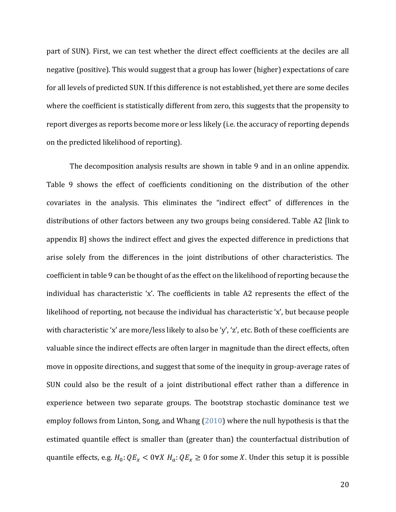part of SUN). First, we can test whether the direct effect coefficients at the deciles are all negative (positive). This would suggest that a group has lower (higher) expectations of care for all levels of predicted SUN. If this difference is not established, yet there are some deciles where the coefficient is statistically different from zero, this suggests that the propensity to report diverges as reports become more or less likely (i.e. the accuracy of reporting depends on the predicted likelihood of reporting).

The decomposition analysis results are shown in table 9 and in an online appendix. Table 9 shows the effect of coefficients conditioning on the distribution of the other covariates in the analysis. This eliminates the "indirect effect" of differences in the distributions of other factors between any two groups being considered. Table A2 [link to appendix B] shows the indirect effect and gives the expected difference in predictions that arise solely from the differences in the joint distributions of other characteristics. The coefficient in table 9 can be thought of as the effect on the likelihood of reporting because the individual has characteristic 'x'. The coefficients in table A2 represents the effect of the likelihood of reporting, not because the individual has characteristic 'x', but because people with characteristic 'x' are more/less likely to also be 'y', 'z', etc. Both of these coefficients are valuable since the indirect effects are often larger in magnitude than the direct effects, often move in opposite directions, and suggest that some of the inequity in group-average rates of SUN could also be the result of a joint distributional effect rather than a difference in experience between two separate groups. The bootstrap stochastic dominance test we employ follows from Linton, Song, and Whang (2010) where the null hypothesis is that the estimated quantile effect is smaller than (greater than) the counterfactual distribution of quantile effects, e.g.  $H_0: QE_x < 0 \forall X H_a: QE_x \ge 0$  for some X. Under this setup it is possible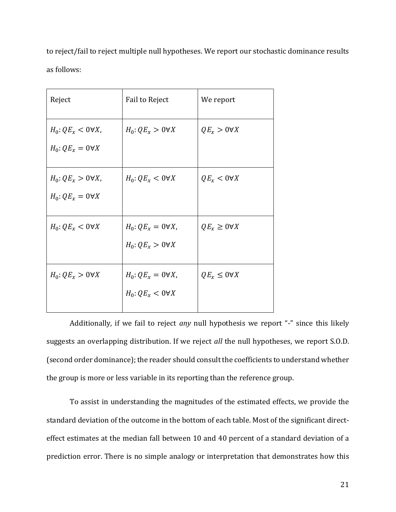to reject/fail to reject multiple null hypotheses. We report our stochastic dominance results as follows:

| Reject                    | Fail to Reject           | We report               |
|---------------------------|--------------------------|-------------------------|
| $H_0: QE_x < 0 \forall X$ | $H_0: QE_x > 0\forall X$ | $QE_x > 0 \forall X$    |
| $H_0:QE_x=0\forall X$     |                          |                         |
| $H_0: QE_x > 0\forall X,$ | $H_0:QE_x<0\forall X$    | $QE_x < 0 \forall X$    |
| $H_0:QE_x=0\forall X$     |                          |                         |
| $H_0: QE_x < 0 \forall X$ | $H_0:QE_x=0\forall X,$   | $QE_x \geq 0 \forall X$ |
|                           | $H_0:QE_x>0\forall X$    |                         |
| $H_0: QE_x > 0\forall X$  | $H_0:QE_x=0\forall X$ ,  | $QE_x \leq 0 \forall X$ |
|                           | $H_0:QE_x<0\forall X$    |                         |
|                           |                          |                         |

Additionally, if we fail to reject *any* null hypothesis we report "-" since this likely suggests an overlapping distribution. If we reject *all* the null hypotheses, we report S.O.D. (second order dominance); the reader should consult the coefficients to understand whether the group is more or less variable in its reporting than the reference group.

To assist in understanding the magnitudes of the estimated effects, we provide the standard deviation of the outcome in the bottom of each table. Most of the significant directeffect estimates at the median fall between 10 and 40 percent of a standard deviation of a prediction error. There is no simple analogy or interpretation that demonstrates how this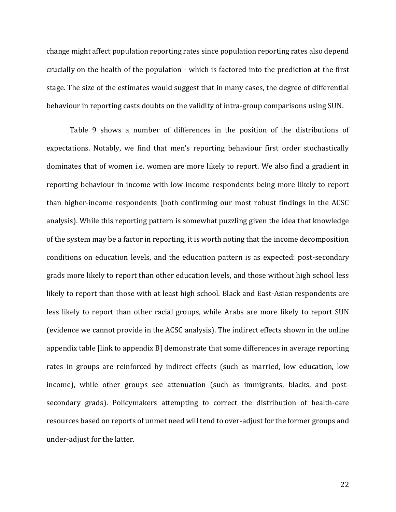change might affect population reporting rates since population reporting rates also depend crucially on the health of the population - which is factored into the prediction at the first stage. The size of the estimates would suggest that in many cases, the degree of differential behaviour in reporting casts doubts on the validity of intra-group comparisons using SUN.

Table 9 shows a number of differences in the position of the distributions of expectations. Notably, we find that men's reporting behaviour first order stochastically dominates that of women i.e. women are more likely to report. We also find a gradient in reporting behaviour in income with low-income respondents being more likely to report than higher-income respondents (both confirming our most robust findings in the ACSC analysis). While this reporting pattern is somewhat puzzling given the idea that knowledge of the system may be a factor in reporting, it is worth noting that the income decomposition conditions on education levels, and the education pattern is as expected: post-secondary grads more likely to report than other education levels, and those without high school less likely to report than those with at least high school. Black and East-Asian respondents are less likely to report than other racial groups, while Arabs are more likely to report SUN (evidence we cannot provide in the ACSC analysis). The indirect effects shown in the online appendix table [link to appendix B] demonstrate that some differences in average reporting rates in groups are reinforced by indirect effects (such as married, low education, low income), while other groups see attenuation (such as immigrants, blacks, and postsecondary grads). Policymakers attempting to correct the distribution of health-care resources based on reports of unmet need will tend to over-adjust for the former groups and under-adjust for the latter.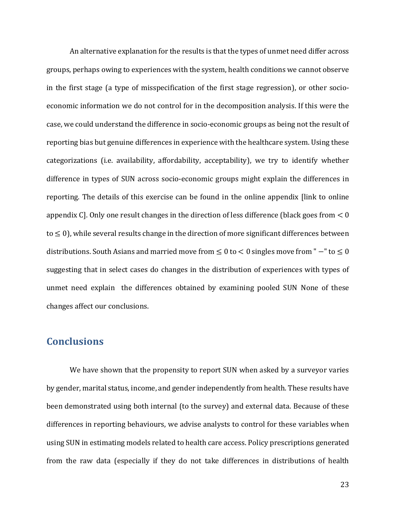An alternative explanation for the results is that the types of unmet need differ across groups, perhaps owing to experiences with the system, health conditions we cannot observe in the first stage (a type of misspecification of the first stage regression), or other socioeconomic information we do not control for in the decomposition analysis. If this were the case, we could understand the difference in socio-economic groups as being not the result of reporting bias but genuine differences in experience with the healthcare system. Using these categorizations (i.e. availability, affordability, acceptability), we try to identify whether difference in types of SUN across socio-economic groups might explain the differences in reporting. The details of this exercise can be found in the online appendix [link to online appendix C. Only one result changes in the direction of less difference (black goes from  $< 0$ )  $to \leq 0$ , while several results change in the direction of more significant differences between distributions. South Asians and married move from ≤ 0 to < 0 singles move from " −" to ≤ 0 suggesting that in select cases do changes in the distribution of experiences with types of unmet need explain the differences obtained by examining pooled SUN None of these changes affect our conclusions.

# **Conclusions**

We have shown that the propensity to report SUN when asked by a surveyor varies by gender, marital status, income, and gender independently from health. These results have been demonstrated using both internal (to the survey) and external data. Because of these differences in reporting behaviours, we advise analysts to control for these variables when using SUN in estimating models related to health care access. Policy prescriptions generated from the raw data (especially if they do not take differences in distributions of health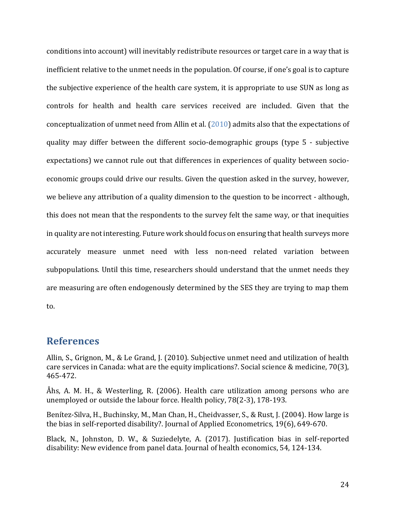conditions into account) will inevitably redistribute resources or target care in a way that is inefficient relative to the unmet needs in the population. Of course, if one's goal is to capture the subjective experience of the health care system, it is appropriate to use SUN as long as controls for health and health care services received are included. Given that the conceptualization of unmet need from Allin et al. (2010) admits also that the expectations of quality may differ between the different socio-demographic groups (type 5 - subjective expectations) we cannot rule out that differences in experiences of quality between socioeconomic groups could drive our results. Given the question asked in the survey, however, we believe any attribution of a quality dimension to the question to be incorrect - although, this does not mean that the respondents to the survey felt the same way, or that inequities in quality are not interesting. Future work should focus on ensuring that health surveys more accurately measure unmet need with less non-need related variation between subpopulations. Until this time, researchers should understand that the unmet needs they are measuring are often endogenously determined by the SES they are trying to map them to.

# **References**

Allin, S., Grignon, M., & Le Grand, J. (2010). Subjective unmet need and utilization of health care services in Canada: what are the equity implications?. Social science & medicine, 70(3), 465-472.

Åhs, A. M. H., & Westerling, R. (2006). Health care utilization among persons who are unemployed or outside the labour force. Health policy, 78(2-3), 178-193.

Benítez‐Silva, H., Buchinsky, M., Man Chan, H., Cheidvasser, S., & Rust, J. (2004). How large is the bias in self‐reported disability?. Journal of Applied Econometrics, 19(6), 649-670.

Black, N., Johnston, D. W., & Suziedelyte, A. (2017). Justification bias in self-reported disability: New evidence from panel data. Journal of health economics, 54, 124-134.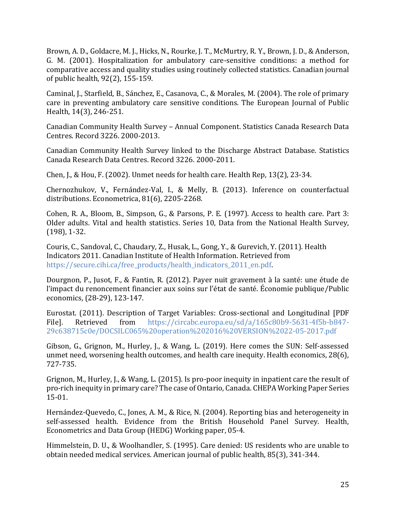Brown, A. D., Goldacre, M. J., Hicks, N., Rourke, J. T., McMurtry, R. Y., Brown, J. D., & Anderson, G. M. (2001). Hospitalization for ambulatory care-sensitive conditions: a method for comparative access and quality studies using routinely collected statistics. Canadian journal of public health, 92(2), 155-159.

Caminal, J., Starfield, B., Sánchez, E., Casanova, C., & Morales, M. (2004). The role of primary care in preventing ambulatory care sensitive conditions. The European Journal of Public Health, 14(3), 246-251.

Canadian Community Health Survey – Annual Component. Statistics Canada Research Data Centres. Record 3226. 2000-2013.

Canadian Community Health Survey linked to the Discharge Abstract Database. Statistics Canada Research Data Centres. Record 3226. 2000-2011.

Chen, J., & Hou, F. (2002). Unmet needs for health care. Health Rep, 13(2), 23-34.

Chernozhukov, V., Fernández‐Val, I., & Melly, B. (2013). Inference on counterfactual distributions. Econometrica, 81(6), 2205-2268.

Cohen, R. A., Bloom, B., Simpson, G., & Parsons, P. E. (1997). Access to health care. Part 3: Older adults. Vital and health statistics. Series 10, Data from the National Health Survey, (198), 1-32.

Couris, C., Sandoval, C., Chaudary, Z., Husak, L., Gong, Y., & Gurevich, Y. (2011). Health Indicators 2011. Canadian Institute of Health Information. Retrieved from [https://secure.cihi.ca/free\\_products/health\\_indicators\\_2011\\_en.pdf.](https://secure.cihi.ca/free_products/health_indicators_2011_en.pdf)

Dourgnon, P., Jusot, F., & Fantin, R. (2012). Payer nuit gravement à la santé: une étude de l'impact du renoncement financier aux soins sur l'état de santé. Économie publique/Public economics, (28-29), 123-147.

Eurostat. (2011). Description of Target Variables: Cross-sectional and Longitudinal [PDF File]. Retrieved from [https://circabc.europa.eu/sd/a/165c80b9-5631-4f5b-b847-](https://circabc.europa.eu/sd/a/165c80b9-5631-4f5b-b847-29c638715c0e/DOCSILC065%20operation%202016%20VERSION%2022-05-2017.pdf) [29c638715c0e/DOCSILC065%20operation%202016%20VERSION%2022-05-2017.pdf](https://circabc.europa.eu/sd/a/165c80b9-5631-4f5b-b847-29c638715c0e/DOCSILC065%20operation%202016%20VERSION%2022-05-2017.pdf)

Gibson, G., Grignon, M., Hurley, J., & Wang, L. (2019). Here comes the SUN: Self‐assessed unmet need, worsening health outcomes, and health care inequity. Health economics, 28(6), 727-735.

Grignon, M., Hurley, J., & Wang, L. (2015). Is pro‐poor inequity in inpatient care the result of pro‐rich inequity in primary care? The case of Ontario, Canada. CHEPA Working Paper Series 15-01.

Hernández-Quevedo, C., Jones, A. M., & Rice, N. (2004). Reporting bias and heterogeneity in self-assessed health. Evidence from the British Household Panel Survey. Health, Econometrics and Data Group (HEDG) Working paper, 05-4.

Himmelstein, D. U., & Woolhandler, S. (1995). Care denied: US residents who are unable to obtain needed medical services. American journal of public health, 85(3), 341-344.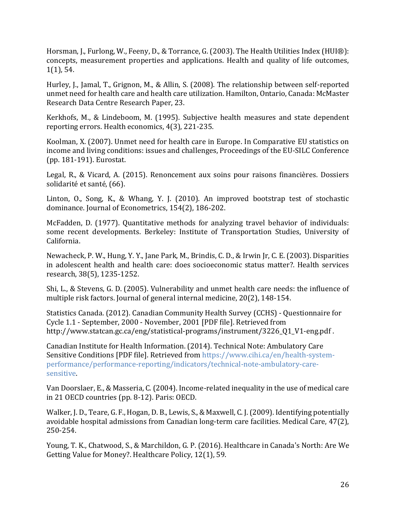Horsman, J., Furlong, W., Feeny, D., & Torrance, G. (2003). The Health Utilities Index (HUI®): concepts, measurement properties and applications. Health and quality of life outcomes, 1(1), 54.

Hurley, J., Jamal, T., Grignon, M., & Allin, S. (2008). The relationship between self-reported unmet need for health care and health care utilization. Hamilton, Ontario, Canada: McMaster Research Data Centre Research Paper, 23.

Kerkhofs, M., & Lindeboom, M. (1995). Subjective health measures and state dependent reporting errors. Health economics, 4(3), 221-235.

Koolman, X. (2007). Unmet need for health care in Europe. In Comparative EU statistics on income and living conditions: issues and challenges, Proceedings of the EU-SILC Conference (pp. 181-191). Eurostat.

Legal, R., & Vicard, A. (2015). Renoncement aux soins pour raisons financières. Dossiers solidarité et santé, (66).

Linton, O., Song, K., & Whang, Y. J. (2010). An improved bootstrap test of stochastic dominance. Journal of Econometrics, 154(2), 186-202.

McFadden, D. (1977). Quantitative methods for analyzing travel behavior of individuals: some recent developments. Berkeley: Institute of Transportation Studies, University of California.

Newacheck, P. W., Hung, Y. Y., Jane Park, M., Brindis, C. D., & Irwin Jr, C. E. (2003). Disparities in adolescent health and health care: does socioeconomic status matter?. Health services research, 38(5), 1235-1252.

Shi, L., & Stevens, G. D. (2005). Vulnerability and unmet health care needs: the influence of multiple risk factors. Journal of general internal medicine, 20(2), 148-154.

Statistics Canada. (2012). Canadian Community Health Survey (CCHS) - Questionnaire for Cycle 1.1 - September, 2000 - November, 2001 [PDF file]. Retrieved from http://www.statcan.gc.ca/eng/statistical-programs/instrument/3226\_01\_V1-eng.pdf .

Canadian Institute for Health Information. (2014). Technical Note: Ambulatory Care Sensitive Conditions [PDF file]. Retrieved from [https://www.cihi.ca/en/health-system](https://www.cihi.ca/en/health-system-performance/performance-reporting/indicators/technical-note-ambulatory-care-sensitive)[performance/performance-reporting/indicators/technical-note-ambulatory-care](https://www.cihi.ca/en/health-system-performance/performance-reporting/indicators/technical-note-ambulatory-care-sensitive)[sensitive.](https://www.cihi.ca/en/health-system-performance/performance-reporting/indicators/technical-note-ambulatory-care-sensitive)

Van Doorslaer, E., & Masseria, C. (2004). Income-related inequality in the use of medical care in 21 OECD countries (pp. 8-12). Paris: OECD.

Walker, J. D., Teare, G. F., Hogan, D. B., Lewis, S., & Maxwell, C. J. (2009). Identifying potentially avoidable hospital admissions from Canadian long-term care facilities. Medical Care, 47(2), 250-254.

Young, T. K., Chatwood, S., & Marchildon, G. P. (2016). Healthcare in Canada's North: Are We Getting Value for Money?. Healthcare Policy, 12(1), 59.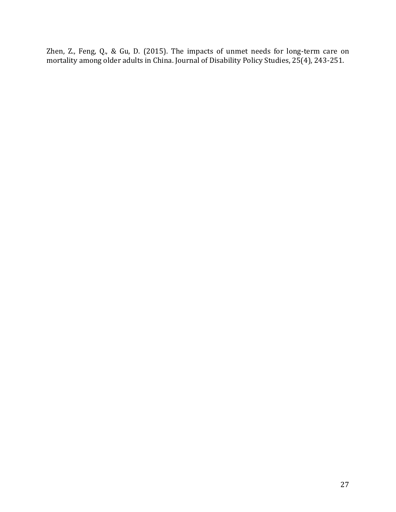Zhen, Z., Feng, Q., & Gu, D. (2015). The impacts of unmet needs for long-term care on mortality among older adults in China. Journal of Disability Policy Studies, 25(4), 243-251.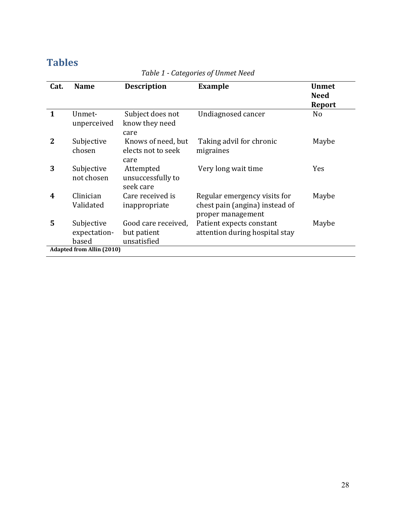# **Tables**

| Cat.         | <b>Name</b>                         | <b>Description</b>                                | <b>Example</b>                                                                      | <b>Unmet</b><br><b>Need</b><br><b>Report</b> |
|--------------|-------------------------------------|---------------------------------------------------|-------------------------------------------------------------------------------------|----------------------------------------------|
| $\mathbf{1}$ | Unmet-<br>unperceived               | Subject does not<br>know they need<br>care        | Undiagnosed cancer                                                                  | N <sub>0</sub>                               |
| 2            | Subjective<br>chosen                | Knows of need, but<br>elects not to seek<br>care  | Taking advil for chronic<br>migraines                                               | Maybe                                        |
| 3            | Subjective<br>not chosen            | Attempted<br>unsuccessfully to<br>seek care       | Very long wait time                                                                 | <b>Yes</b>                                   |
| 4            | Clinician<br>Validated              | Care received is<br>inappropriate                 | Regular emergency visits for<br>chest pain (angina) instead of<br>proper management | Maybe                                        |
| 5            | Subjective<br>expectation-<br>based | Good care received,<br>but patient<br>unsatisfied | Patient expects constant<br>attention during hospital stay                          | Maybe                                        |
|              | <b>Adapted from Allin (2010)</b>    |                                                   |                                                                                     |                                              |

# *Table 1 - Categories of Unmet Need*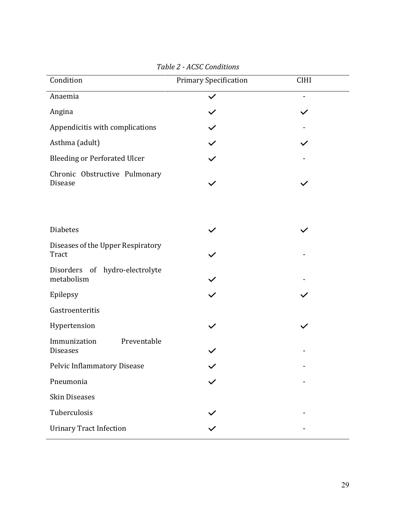| Condition                                       | <b>Primary Specification</b> | <b>CIHI</b> |  |
|-------------------------------------------------|------------------------------|-------------|--|
| Anaemia                                         |                              |             |  |
| Angina                                          |                              |             |  |
| Appendicitis with complications                 |                              |             |  |
| Asthma (adult)                                  |                              |             |  |
| <b>Bleeding or Perforated Ulcer</b>             |                              |             |  |
| Chronic Obstructive Pulmonary<br>Disease        |                              |             |  |
|                                                 |                              |             |  |
| <b>Diabetes</b>                                 |                              |             |  |
| Diseases of the Upper Respiratory<br>Tract      |                              |             |  |
| Disorders<br>of hydro-electrolyte<br>metabolism |                              |             |  |
| Epilepsy                                        |                              |             |  |
| Gastroenteritis                                 |                              |             |  |
| Hypertension                                    |                              |             |  |
| Preventable<br>Immunization<br><b>Diseases</b>  |                              |             |  |
| Pelvic Inflammatory Disease                     |                              |             |  |
| Pneumonia                                       |                              |             |  |
| <b>Skin Diseases</b>                            |                              |             |  |
| Tuberculosis                                    |                              |             |  |
| <b>Urinary Tract Infection</b>                  |                              |             |  |

*Table 2 - ACSC Conditions*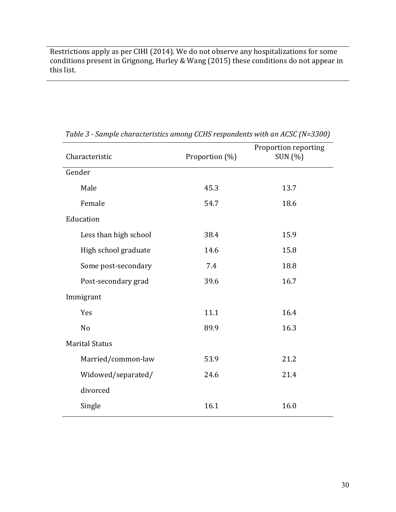Restrictions apply as per CIHI (2014). We do not observe any hospitalizations for some conditions present in Grignong, Hurley & Wang (2015) these conditions do not appear in this list.

| Characteristic        | Proportion (%) | Proportion reporting<br>SUN (%) |
|-----------------------|----------------|---------------------------------|
| Gender                |                |                                 |
| Male                  | 45.3           | 13.7                            |
| Female                | 54.7           | 18.6                            |
| Education             |                |                                 |
| Less than high school | 38.4           | 15.9                            |
| High school graduate  | 14.6           | 15.8                            |
| Some post-secondary   | 7.4            | 18.8                            |
| Post-secondary grad   | 39.6           | 16.7                            |
| Immigrant             |                |                                 |
| Yes                   | 11.1           | 16.4                            |
| N <sub>o</sub>        | 89.9           | 16.3                            |
| <b>Marital Status</b> |                |                                 |
| Married/common-law    | 53.9           | 21.2                            |
| Widowed/separated/    | 24.6           | 21.4                            |
| divorced              |                |                                 |
| Single                | 16.1           | 16.0                            |

*Table 3 - Sample characteristics among CCHS respondents with an ACSC (N=3300)*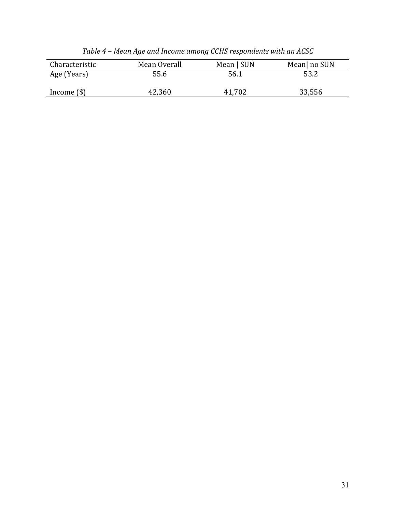| Characteristic | Mean Overall | Mean   SUN  | Mean  no SUN |
|----------------|--------------|-------------|--------------|
| Age (Years)    | 55.6         | 56.1        | 53.2         |
| Income $(\$)$  | 42,360       | .702<br>41. | 33,556       |

*Table 4 – Mean Age and Income among CCHS respondents with an ACSC*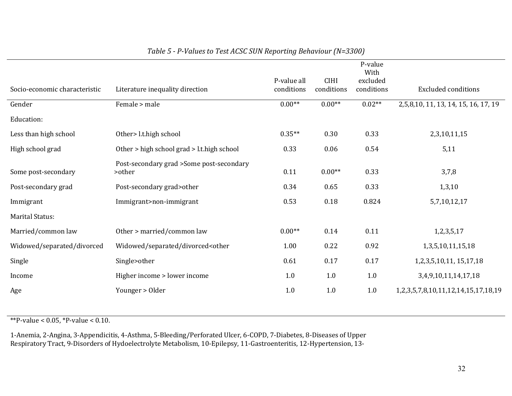|                               |                                                                                                                     |             |             | P-value<br>With |                                      |
|-------------------------------|---------------------------------------------------------------------------------------------------------------------|-------------|-------------|-----------------|--------------------------------------|
|                               |                                                                                                                     | P-value all | <b>CIHI</b> | excluded        |                                      |
| Socio-economic characteristic | Literature inequality direction                                                                                     | conditions  | conditions  | conditions      | <b>Excluded conditions</b>           |
| Gender                        | Female > male                                                                                                       | $0.00**$    | $0.00**$    | $0.02**$        | 2,5,8,10, 11, 13, 14, 15, 16, 17, 19 |
| Education:                    |                                                                                                                     |             |             |                 |                                      |
| Less than high school         | Other> l.t.high school                                                                                              | $0.35**$    | 0.30        | 0.33            | 2,3,10,11,15                         |
| High school grad              | Other > high school grad > l.t.high school                                                                          | 0.33        | 0.06        | 0.54            | 5,11                                 |
|                               | Post-secondary grad >Some post-secondary                                                                            |             |             |                 |                                      |
| Some post-secondary           | >other                                                                                                              | 0.11        | $0.00**$    | 0.33            | 3,7,8                                |
| Post-secondary grad           | Post-secondary grad>other                                                                                           | 0.34        | 0.65        | 0.33            | 1,3,10                               |
| Immigrant                     | Immigrant>non-immigrant                                                                                             | 0.53        | 0.18        | 0.824           | 5,7,10,12,17                         |
| <b>Marital Status:</b>        |                                                                                                                     |             |             |                 |                                      |
| Married/common law            | Other > married/common law                                                                                          | $0.00**$    | 0.14        | 0.11            | 1,2,3,5,17                           |
| Widowed/separated/divorced    | Widowed/separated/divorced <other< td=""><td>1.00</td><td>0.22</td><td>0.92</td><td>1,3,5,10,11,15,18</td></other<> | 1.00        | 0.22        | 0.92            | 1,3,5,10,11,15,18                    |
| Single                        | Single>other                                                                                                        | 0.61        | 0.17        | 0.17            | 1, 2, 3, 5, 10, 11, 15, 17, 18       |
| Income                        | Higher income > lower income                                                                                        | 1.0         | 1.0         | 1.0             | 3,4,9,10,11,14,17,18                 |
| Age                           | Younger > Older                                                                                                     | 1.0         | 1.0         | 1.0             | 1,2,3,5,7,8,10,11,12,14,15,17,18,19  |
|                               |                                                                                                                     |             |             |                 |                                      |

### *Table 5 - P-Values to Test ACSC SUN Reporting Behaviour (N=3300)*

\*\*P-value <  $0.05$ , \*P-value <  $0.10$ .

1-Anemia, 2-Angina, 3-Appendicitis, 4-Asthma, 5-Bleeding/Perforated Ulcer, 6-COPD, 7-Diabetes, 8-Diseases of Upper Respiratory Tract, 9-Disorders of Hydoelectrolyte Metabolism, 10-Epilepsy, 11-Gastroenteritis, 12-Hypertension, 13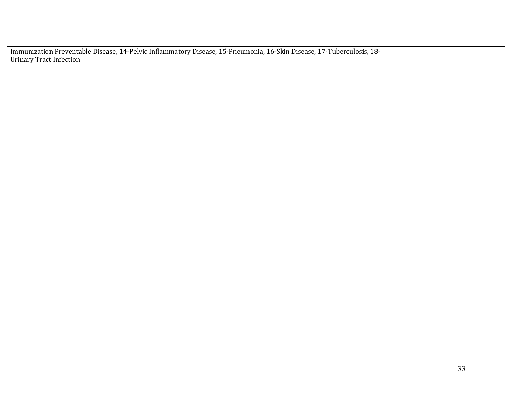Immunization Preventable Disease, 14-Pelvic Inflammatory Disease, 15-Pneumonia, 16-Skin Disease, 17-Tuberculosis, 18- Urinary Tract Infection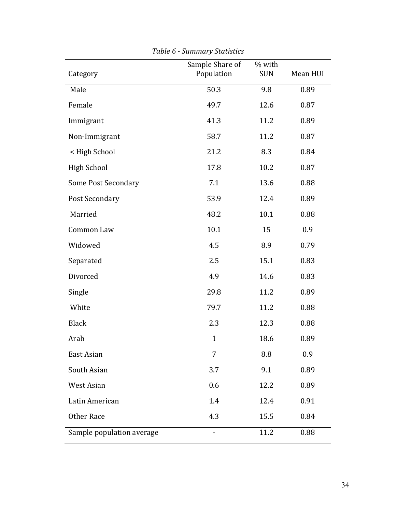| Category                   | Sample Share of<br>Population | % with<br><b>SUN</b> | Mean HUI |
|----------------------------|-------------------------------|----------------------|----------|
| Male                       | 50.3                          | 9.8                  | 0.89     |
| Female                     | 49.7                          | 12.6                 | 0.87     |
|                            |                               |                      |          |
| Immigrant                  | 41.3                          | 11.2                 | 0.89     |
| Non-Immigrant              | 58.7                          | 11.2                 | 0.87     |
| < High School              | 21.2                          | 8.3                  | 0.84     |
| <b>High School</b>         | 17.8                          | 10.2                 | 0.87     |
| <b>Some Post Secondary</b> | 7.1                           | 13.6                 | 0.88     |
| Post Secondary             | 53.9                          | 12.4                 | 0.89     |
| Married                    | 48.2                          | 10.1                 | 0.88     |
| Common Law                 | 10.1                          | 15                   | 0.9      |
| Widowed                    | 4.5                           | 8.9                  | 0.79     |
| Separated                  | 2.5                           | 15.1                 | 0.83     |
| Divorced                   | 4.9                           | 14.6                 | 0.83     |
| Single                     | 29.8                          | 11.2                 | 0.89     |
| White                      | 79.7                          | 11.2                 | 0.88     |
| <b>Black</b>               | 2.3                           | 12.3                 | 0.88     |
| Arab                       | $\mathbf{1}$                  | 18.6                 | 0.89     |
| East Asian                 | 7                             | 8.8                  | 0.9      |
| South Asian                | 3.7                           | 9.1                  | 0.89     |
| West Asian                 | 0.6                           | 12.2                 | 0.89     |
| Latin American             | 1.4                           | 12.4                 | 0.91     |
| Other Race                 | 4.3                           | 15.5                 | 0.84     |
| Sample population average  |                               | 11.2                 | 0.88     |

*Table 6 - Summary Statistics*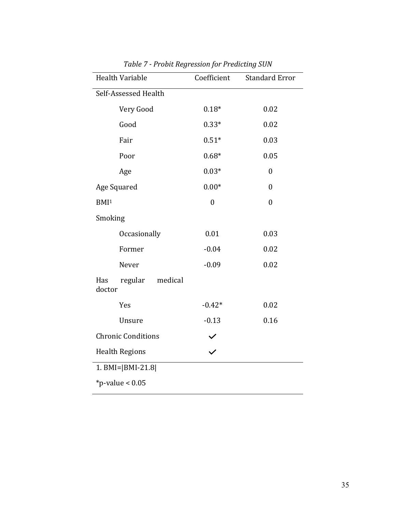| <b>Health Variable</b>              | Coefficient      | <b>Standard Error</b> |
|-------------------------------------|------------------|-----------------------|
| Self-Assessed Health                |                  |                       |
| Very Good                           | $0.18*$          | 0.02                  |
| Good                                | $0.33*$          | 0.02                  |
| Fair                                | $0.51*$          | 0.03                  |
| Poor                                | $0.68*$          | 0.05                  |
| Age                                 | $0.03*$          | $\boldsymbol{0}$      |
| Age Squared                         | $0.00*$          | $\boldsymbol{0}$      |
| BMI <sup>1</sup>                    | $\boldsymbol{0}$ | $\boldsymbol{0}$      |
| Smoking                             |                  |                       |
| Occasionally                        | 0.01             | 0.03                  |
| Former                              | $-0.04$          | 0.02                  |
| Never                               | $-0.09$          | 0.02                  |
| regular<br>Has<br>medical<br>doctor |                  |                       |
| Yes                                 | $-0.42*$         | 0.02                  |
| Unsure                              | $-0.13$          | 0.16                  |
| <b>Chronic Conditions</b>           |                  |                       |
| <b>Health Regions</b>               |                  |                       |
| 1. BMI= $ BMI-21.8 $                |                  |                       |
| *p-value < $0.05$                   |                  |                       |

*Table 7 - Probit Regression for Predicting SUN*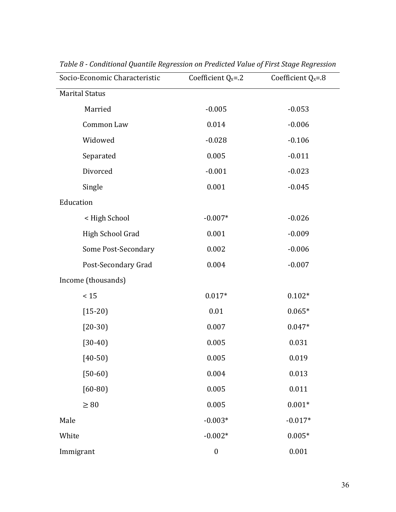| Socio-Economic Characteristic | Coefficient $Q_x = .2$ | Coefficient $Q_x = .8$ |  |
|-------------------------------|------------------------|------------------------|--|
| <b>Marital Status</b>         |                        |                        |  |
| Married                       | $-0.005$               | $-0.053$               |  |
| Common Law                    | 0.014                  | $-0.006$               |  |
| Widowed                       | $-0.028$               | $-0.106$               |  |
| Separated                     | 0.005                  | $-0.011$               |  |
| Divorced                      | $-0.001$               | $-0.023$               |  |
| Single                        | 0.001                  | $-0.045$               |  |
| Education                     |                        |                        |  |
| < High School                 | $-0.007*$              | $-0.026$               |  |
| High School Grad              | 0.001                  | $-0.009$               |  |
| Some Post-Secondary           | 0.002                  | $-0.006$               |  |
| Post-Secondary Grad           | 0.004                  | $-0.007$               |  |
| Income (thousands)            |                        |                        |  |
| < 15                          | $0.017*$               | $0.102*$               |  |
| $[15-20]$                     | 0.01                   | $0.065*$               |  |
| $[20-30]$                     | 0.007                  | $0.047*$               |  |
| $[30-40]$                     | 0.005                  | 0.031                  |  |
| $[40-50]$                     | 0.005                  | 0.019                  |  |
| $[50-60]$                     | 0.004                  | 0.013                  |  |
| $[60 - 80]$                   | 0.005                  | 0.011                  |  |
| $\geq 80$                     | 0.005                  | $0.001*$               |  |
| Male                          | $-0.003*$              | $-0.017*$              |  |
| White                         | $-0.002*$              | $0.005*$               |  |
| Immigrant                     | $\boldsymbol{0}$       | 0.001                  |  |

*Table 8 - Conditional Quantile Regression on Predicted Value of First Stage Regression*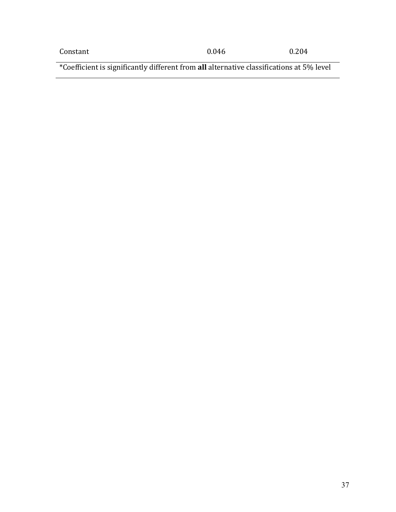\*Coefficient is significantly different from **all** alternative classifications at 5% level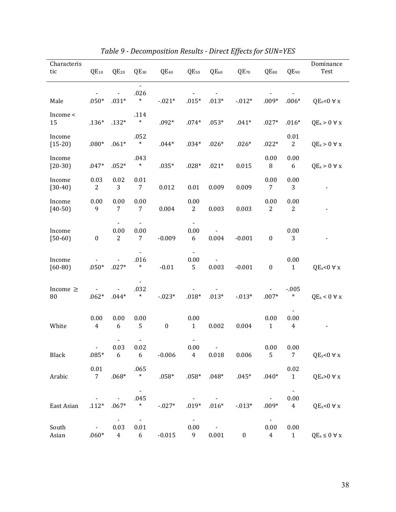| Characteris<br>tic  | $QE_{10}$              | $QE_{20}$              | $QE_{30}$                        | $QE_{40}$        | $QE_{50}$               | QE <sub>60</sub>                 | $QE_{70}$ | $QE_{80}$                                | QE <sub>90</sub>                         | Dominance<br>Test       |
|---------------------|------------------------|------------------------|----------------------------------|------------------|-------------------------|----------------------------------|-----------|------------------------------------------|------------------------------------------|-------------------------|
|                     |                        |                        | $\frac{1}{2}$<br>.026            |                  |                         |                                  |           |                                          |                                          |                         |
| Male                | $.050*$                | $.031*$                | $\ast$                           | $-021*$          | $.015*$                 | $.013*$                          | $-012*$   | $.009*$                                  | $.006*$                                  | $QE_x<0$ $\forall$ x    |
| Income <<br>15      | $.136*$                | $.132*$                | .114<br>$\ast$                   | $.092*$          | $.074*$                 | $.053*$                          | $.041*$   | $.027*$                                  | $.016*$                                  | $QE_x > 0 \forall x$    |
| Income<br>$[15-20]$ | $.080*$                | $.061*$                | .052<br>$\ast$                   | $.044*$          | $.034*$                 | $.026*$                          | $.026*$   | $.022*$                                  | 0.01<br>$\overline{c}$                   | $QE_x > 0 \forall x$    |
| Income<br>$[20-30]$ | $.047*$                | $.052*$                | .043<br>$\ast$                   | $.035*$          | $.028*$                 | $.021*$                          | 0.015     | 0.00<br>$\, 8$                           | 0.00<br>6                                | $QE_x > 0 \forall x$    |
| Income<br>$[30-40]$ | 0.03<br>$\mathbf{2}$   | 0.02<br>3              | 0.01<br>$7\phantom{.}$           | 0.012            | 0.01                    | 0.009                            | 0.009     | 0.00<br>$\overline{7}$                   | 0.00<br>3                                |                         |
| Income<br>$[40-50]$ | 0.00<br>9              | 0.00<br>7              | $0.00\,$<br>7                    | 0.004            | 0.00<br>$\mathbf{2}$    | 0.003                            | 0.003     | 0.00<br>$\overline{c}$                   | 0.00<br>2                                |                         |
| Income<br>$[50-60]$ | $\boldsymbol{0}$       | 0.00<br>$\mathbf{2}$   | 0.00<br>$\overline{7}$           | $-0.009$         | 0.00<br>6               | 0.004                            | $-0.001$  | $\boldsymbol{0}$                         | 0.00<br>3                                |                         |
| Income<br>$[60-80]$ | $.050*$                | $.027*$                | .016<br>$\ast$                   | $-0.01$          | 0.00<br>5               | 0.003                            | $-0.001$  | $\boldsymbol{0}$                         | 0.00<br>$\mathbf{1}$                     | $QE_x<0$ $\forall$ x    |
| Income $\geq$<br>80 | $.062*$                | $.044*$                | .032<br>$\ast$                   | $-023*$          | $.018*$                 | $.013*$                          | $-013*$   | $.007*$                                  | $-0.005$<br>$\ast$                       | $QE_x < 0 \forall x$    |
| White               | 0.00<br>$\overline{4}$ | 0.00<br>6              | 0.00<br>5                        | $\boldsymbol{0}$ | 0.00<br>$\mathbf{1}$    | 0.002                            | 0.004     | 0.00<br>$\mathbf{1}$                     | 0.00<br>4                                |                         |
| Black               | $.085* 6$              | 0.03                   | 0.02<br>$6\overline{6}$          | $-0.006$         | 0.00<br>$4\overline{4}$ | 0.018                            | 0.006     | 0.00<br>5                                | 0.00<br>$7\overline{ }$                  | $QE_x<0 \forall x$      |
| Arabic              | 0.01<br>7 <sup>7</sup> | $.068*$                | .065<br>$\ast$                   |                  |                         | $.058*$ $.058*$ $.048*$          | $.045*$   | $.040*$                                  | 0.02<br>$\mathbf{1}$                     | $QE_x>0 \forall x$      |
| East Asian          | $.112*$                | $.067*$                | $\blacksquare$<br>.045<br>$\ast$ | $-027*$          | $.019*$                 | $.016*$                          | $-013*$   | $.009*$                                  | $\blacksquare$<br>0.00<br>$\overline{4}$ | $QE_x<0 \forall x$      |
| South<br>Asian      | $\sim 100$<br>$.060*$  | 0.03<br>$\overline{4}$ | $\sim$<br>0.01<br>6              | $-0.015$         | $\sim$<br>0.00<br>9     | $\sim 100$ km s $^{-1}$<br>0.001 | $\bf{0}$  | $\blacksquare$<br>0.00<br>$\overline{4}$ | 0.00<br>$\mathbf{1}$                     | $QE_x \leq 0 \forall x$ |

*Table 9 - Decomposition Results - Direct Effects for SUN=YES*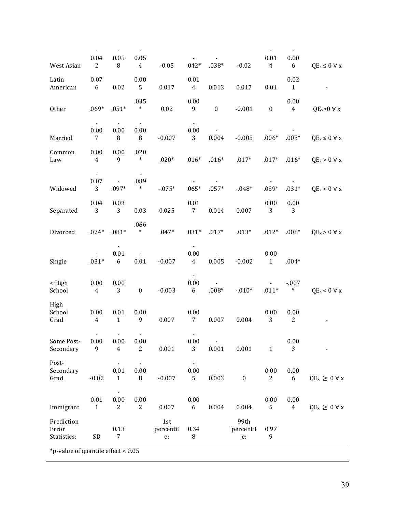| West Asian                           | $\blacksquare$<br>0.04<br>$\overline{2}$ | $\overline{\phantom{a}}$<br>0.05<br>8 | $\overline{\phantom{a}}$<br>0.05<br>$\overline{4}$ | $-0.05$                | $.042*$                    | $.038*$                 | $-0.02$                 | $\blacksquare$<br>$0.01\,$<br>$\overline{4}$ | $\blacksquare$<br>0.00<br>6 | $QE_x \leq 0 \; \forall \; x$ |
|--------------------------------------|------------------------------------------|---------------------------------------|----------------------------------------------------|------------------------|----------------------------|-------------------------|-------------------------|----------------------------------------------|-----------------------------|-------------------------------|
| Latin<br>American                    | $0.07\,$<br>6                            | 0.02                                  | 0.00<br>5                                          | 0.017                  | 0.01<br>$\overline{4}$     | 0.013                   | 0.017                   | 0.01                                         | 0.02<br>$\mathbf{1}$        |                               |
| Other                                | $.069*$                                  | $.051*$                               | .035<br>$\ast$                                     | $0.02\,$               | 0.00<br>9                  | $\boldsymbol{0}$        | $-0.001$                | $\pmb{0}$                                    | 0.00<br>$\overline{4}$      | $QE_x>0 \forall x$            |
| Married                              | $\blacksquare$<br>0.00<br>7              | 0.00<br>8                             | 0.00<br>8                                          | $-0.007$               | 0.00<br>3                  | 0.004                   | $-0.005$                | $.006*$                                      | $.003*$                     | $QE_x \leq 0 \forall x$       |
| Common<br>Law                        | 0.00<br>4                                | $0.00\,$<br>9                         | .020<br>$\ast$                                     | $.020*$                | $.016*$                    | $.016*$                 | $.017*$                 | $.017*$                                      | $.016*$                     | $QE_x > 0 \forall x$          |
| Widowed                              | $\blacksquare$<br>$0.07\,$<br>3          | $.097*$                               | $\overline{\phantom{a}}$<br>.089<br>$\ast$         | $-0.75*$               | $.065*$                    | $.057*$                 | $-0.48*$                | $.039*$                                      | $.031*$                     | $QE_x < 0 \forall x$          |
| Separated                            | 0.04<br>3                                | 0.03<br>3                             | 0.03                                               | 0.025                  | $0.01\,$<br>$\overline{7}$ | 0.014                   | 0.007                   | 0.00<br>3                                    | 0.00<br>3                   |                               |
| Divorced                             | $.074*$                                  | $.081*$                               | .066<br>$\ast$                                     | $.047*$                | $.031*$                    | $.017*$                 | $.013*$                 | $.012*$                                      | $.008*$                     | $QE_x > 0 \forall x$          |
| Single                               | $.031*$                                  | $0.01\,$<br>$\boldsymbol{6}$          | $\blacksquare$<br>$0.01\,$                         | $-0.007$               | $0.00\,$<br>$\overline{4}$ | 0.005                   | $-0.002$                | $0.00\,$<br>$\mathbf{1}$                     | $.004*$                     |                               |
| $<$ High<br>School                   | 0.00<br>$\overline{4}$                   | $0.00\,$<br>3                         | $\boldsymbol{0}$                                   | $-0.003$               | ÷,<br>0.00<br>6            | $.008*$                 | $-010*$                 | $.011*$                                      | $-.007$<br>$\ast$           | $QE_x < 0 \forall x$          |
| High<br>School<br>Grad               | $0.00\,$<br>$\overline{4}$               | $0.01\,$<br>$\mathbf{1}$              | $0.00\,$<br>9                                      | 0.007                  | $0.00\,$<br>7              | 0.007                   | 0.004                   | $0.00\,$<br>3                                | $0.00\,$<br>$\mathbf{2}$    |                               |
| Some Post-<br>Secondary              | 0.00<br>9                                | 0.00<br>$\overline{4}$                | $\overline{\phantom{0}}$<br>0.00<br>$\overline{2}$ | 0.001                  | 0.00<br>3                  | $\blacksquare$<br>0.001 | 0.001                   | $\mathbf{1}$                                 | 0.00<br>3                   |                               |
| Post-<br>Secondary<br>Grad           | $-0.02$                                  | 0.01<br>$\mathbf{1}$                  | 0.00<br>8                                          | $-0.007$               | 0.00<br>5                  | 0.003                   | $\pmb{0}$               | 0.00<br>$\overline{c}$                       | 0.00<br>6                   | $QE_x \geq 0 \forall x$       |
| Immigrant                            | 0.01<br>$\mathbf{1}$                     | 0.00<br>$\overline{c}$                | 0.00<br>$\overline{c}$                             | 0.007                  | 0.00<br>6                  | 0.004                   | 0.004                   | 0.00<br>5                                    | 0.00<br>$\overline{4}$      | $QE_x \geq 0 \forall x$       |
| Prediction<br>Error<br>Statistics:   | SD                                       | 0.13<br>7                             |                                                    | 1st<br>percentil<br>e: | 0.34<br>8                  |                         | 99th<br>percentil<br>e: | 0.97<br>9                                    |                             |                               |
| *p-value of quantile effect < $0.05$ |                                          |                                       |                                                    |                        |                            |                         |                         |                                              |                             |                               |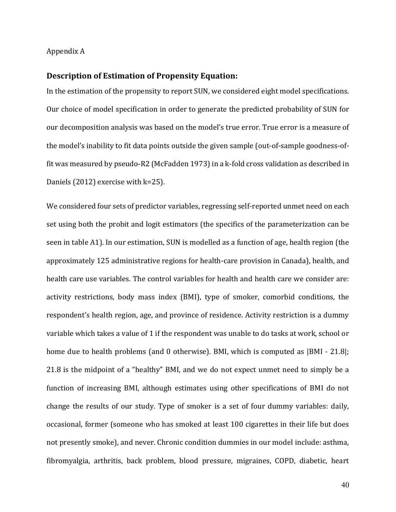#### Appendix A

### **Description of Estimation of Propensity Equation:**

In the estimation of the propensity to report SUN, we considered eight model specifications. Our choice of model specification in order to generate the predicted probability of SUN for our decomposition analysis was based on the model's true error. True error is a measure of the model's inability to fit data points outside the given sample (out-of-sample goodness-offit was measured by pseudo-R2 (McFadden 1973) in a k-fold cross validation as described in Daniels (2012) exercise with k=25).

We considered four sets of predictor variables, regressing self-reported unmet need on each set using both the probit and logit estimators (the specifics of the parameterization can be seen in table A1). In our estimation, SUN is modelled as a function of age, health region (the approximately 125 administrative regions for health-care provision in Canada), health, and health care use variables. The control variables for health and health care we consider are: activity restrictions, body mass index (BMI), type of smoker, comorbid conditions, the respondent's health region, age, and province of residence. Activity restriction is a dummy variable which takes a value of 1 if the respondent was unable to do tasks at work, school or home due to health problems (and 0 otherwise). BMI, which is computed as  $|BMI - 21.8|$ ; 21.8 is the midpoint of a "healthy" BMI, and we do not expect unmet need to simply be a function of increasing BMI, although estimates using other specifications of BMI do not change the results of our study. Type of smoker is a set of four dummy variables: daily, occasional, former (someone who has smoked at least 100 cigarettes in their life but does not presently smoke), and never. Chronic condition dummies in our model include: asthma, fibromyalgia, arthritis, back problem, blood pressure, migraines, COPD, diabetic, heart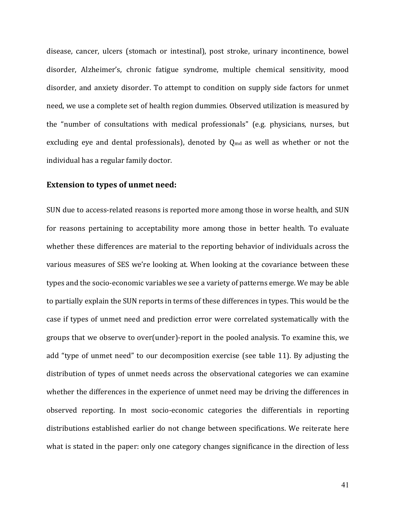disease, cancer, ulcers (stomach or intestinal), post stroke, urinary incontinence, bowel disorder, Alzheimer's, chronic fatigue syndrome, multiple chemical sensitivity, mood disorder, and anxiety disorder. To attempt to condition on supply side factors for unmet need, we use a complete set of health region dummies. Observed utilization is measured by the "number of consultations with medical professionals" (e.g. physicians, nurses, but excluding eye and dental professionals), denoted by  $Q_{\text{md}}$  as well as whether or not the individual has a regular family doctor.

#### **Extension to types of unmet need:**

SUN due to access-related reasons is reported more among those in worse health, and SUN for reasons pertaining to acceptability more among those in better health. To evaluate whether these differences are material to the reporting behavior of individuals across the various measures of SES we're looking at. When looking at the covariance between these types and the socio-economic variables we see a variety of patterns emerge. We may be able to partially explain the SUN reports in terms of these differences in types. This would be the case if types of unmet need and prediction error were correlated systematically with the groups that we observe to over(under)-report in the pooled analysis. To examine this, we add "type of unmet need" to our decomposition exercise (see table 11). By adjusting the distribution of types of unmet needs across the observational categories we can examine whether the differences in the experience of unmet need may be driving the differences in observed reporting. In most socio-economic categories the differentials in reporting distributions established earlier do not change between specifications. We reiterate here what is stated in the paper: only one category changes significance in the direction of less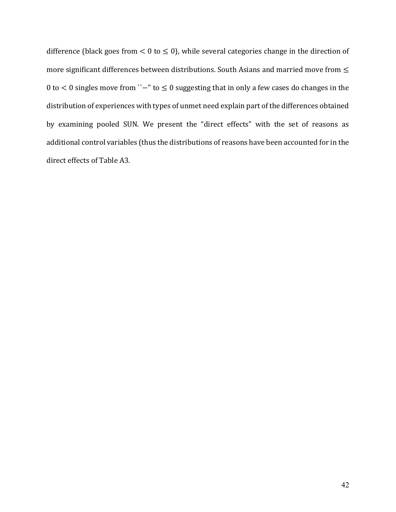difference (black goes from  $< 0$  to  $\leq 0$ ), while several categories change in the direction of more significant differences between distributions. South Asians and married move from ≤ 0 to < 0 singles move from ``−" to ≤ 0 suggesting that in only a few cases do changes in the distribution of experiences with types of unmet need explain part of the differences obtained by examining pooled SUN. We present the "direct effects" with the set of reasons as additional control variables (thus the distributions of reasons have been accounted for in the direct effects of Table A3.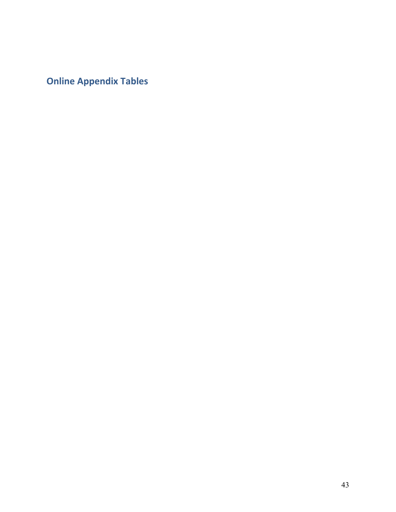**Online Appendix Tables**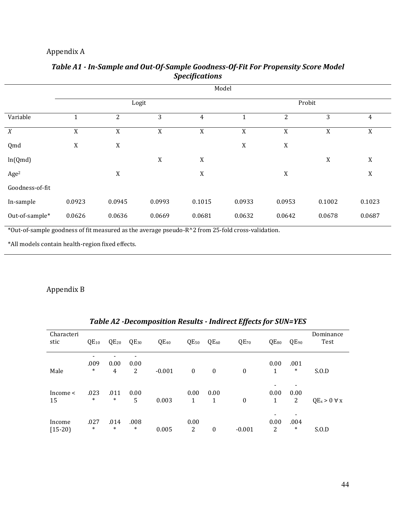## Appendix A

L

|                  | Model       |        |        |                |              |             |             |                |  |  |
|------------------|-------------|--------|--------|----------------|--------------|-------------|-------------|----------------|--|--|
|                  |             |        | Logit  |                | Probit       |             |             |                |  |  |
| Variable         |             | 2      | 3      | $\overline{4}$ | $\mathbf{1}$ | 2           | 3           | $\overline{4}$ |  |  |
| X                | $\mathbf X$ | X      | X      | X              | $\mathbf X$  | X           | X           | X              |  |  |
| Qmd              | $\mathbf X$ | X      |        |                | $\mathbf X$  | $\mathbf X$ |             |                |  |  |
| ln(Qmd)          |             |        | X      | $\mathbf X$    |              |             | $\mathbf X$ | X              |  |  |
| Age <sup>2</sup> |             | X      |        | $\mathbf X$    |              | $\mathbf X$ |             | X              |  |  |
| Goodness-of-fit  |             |        |        |                |              |             |             |                |  |  |
| In-sample        | 0.0923      | 0.0945 | 0.0993 | 0.1015         | 0.0933       | 0.0953      | 0.1002      | 0.1023         |  |  |
| Out-of-sample*   | 0.0626      | 0.0636 | 0.0669 | 0.0681         | 0.0632       | 0.0642      | 0.0678      | 0.0687         |  |  |

### *Table A1 - In-Sample and Out-Of-Sample Goodness-Of-Fit For Propensity Score Model Specifications*

\*Out-of-sample goodness of fit measured as the average pseudo-R^2 from 25-fold cross-validation.

\*All models contain health-region fixed effects.

## Appendix B

|                     |                |                |                |           |                  |              | <u>1 apre 42 - Decomposition Results - Than ett Effects för Solv-TES</u> |           |                |                      |
|---------------------|----------------|----------------|----------------|-----------|------------------|--------------|--------------------------------------------------------------------------|-----------|----------------|----------------------|
| Characteri<br>stic  | $QE_{10}$      | $QE_{20}$      | $QE_{30}$      | $QE_{40}$ | $QE_{50}$        | $QE_{60}$    | $QE_{70}$                                                                | $QE_{80}$ | $QE_{90}$      | Dominance<br>Test    |
| Male                | .009<br>$\ast$ | 0.00<br>4      | 0.00<br>2      | $-0.001$  | $\boldsymbol{0}$ | $\mathbf{0}$ | $\mathbf{0}$                                                             | 0.00<br>1 | .001<br>$\ast$ | S.0.D                |
| Income $\leq$<br>15 | .023<br>$\ast$ | .011<br>$\ast$ | 0.00<br>5      | 0.003     | 0.00<br>1        | 0.00<br>1    | 0                                                                        | 0.00<br>1 | 0.00<br>2      | $QE_x > 0 \forall x$ |
| Income<br>$[15-20]$ | .027<br>$\ast$ | .014<br>$\ast$ | .008<br>$\ast$ | 0.005     | 0.00<br>2        | 0            | $-0.001$                                                                 | 0.00<br>2 | .004<br>$\ast$ | S.0.D                |

## *Table A2 -Decomposition Results - Indirect Effects for SUN=YES*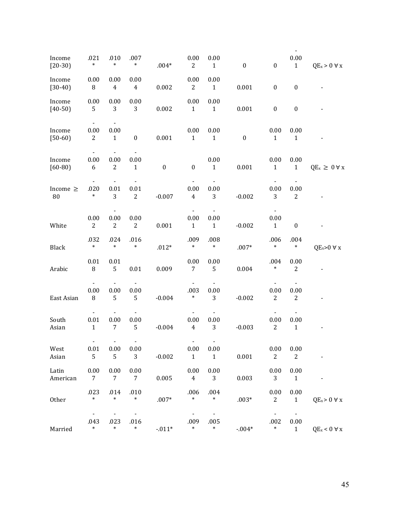|                       |                                                    |                          |                                       |                  |                                |                                  |                  |                                  | $\blacksquare$                             |                         |
|-----------------------|----------------------------------------------------|--------------------------|---------------------------------------|------------------|--------------------------------|----------------------------------|------------------|----------------------------------|--------------------------------------------|-------------------------|
| Income<br>$[20-30]$   | .021<br>$\ast$                                     | .010<br>$\ast$           | .007<br>$\ast$                        | $.004*$          | 0.00<br>$\overline{2}$         | 0.00<br>$\mathbf{1}$             | $\boldsymbol{0}$ | $\boldsymbol{0}$                 | 0.00<br>$\mathbf{1}$                       | $QE_x > 0 \forall x$    |
| Income<br>$[30-40]$   | 0.00<br>8                                          | 0.00<br>$\overline{4}$   | 0.00<br>$\overline{4}$                | 0.002            | 0.00<br>$\mathbf{2}$           | 0.00<br>$\mathbf{1}$             | 0.001            | $\boldsymbol{0}$                 | $\boldsymbol{0}$                           |                         |
| Income<br>$[40-50]$   | 0.00<br>5                                          | 0.00<br>3                | 0.00<br>3                             | 0.002            | 0.00<br>$\mathbf{1}$           | 0.00<br>$\mathbf{1}$             | 0.001            | $\boldsymbol{0}$                 | $\boldsymbol{0}$                           |                         |
| Income<br>$[50-60]$   | $\overline{\phantom{a}}$<br>0.00<br>$\overline{c}$ | 0.00<br>$\mathbf{1}$     | $\boldsymbol{0}$                      | 0.001            | 0.00<br>$\mathbf{1}$           | 0.00<br>$\mathbf{1}$             | $\boldsymbol{0}$ | 0.00<br>$\mathbf{1}$             | 0.00<br>$\mathbf{1}$                       |                         |
| Income<br>$[60 - 80]$ | 0.00<br>6                                          | 0.00<br>$\mathbf{2}$     | 0.00<br>$\mathbf{1}$                  | $\boldsymbol{0}$ | $\boldsymbol{0}$               | $0.00\,$<br>$\mathbf{1}$         | 0.001            | 0.00<br>$\mathbf{1}$             | 0.00<br>$\mathbf{1}$                       | $QE_x \geq 0 \forall x$ |
| Income $\geq$<br>80   | $\overline{\phantom{a}}$<br>.020<br>$\ast$         | 0.01<br>3                | 0.01<br>$\boldsymbol{2}$              | $-0.007$         | 0.00<br>$\overline{4}$         | $\blacksquare$<br>$0.00\,$<br>3  | $-0.002$         | $0.00\,$<br>3                    | $\overline{\phantom{a}}$<br>0.00<br>2      |                         |
| White                 | 0.00<br>$\overline{2}$                             | $0.00\,$<br>$\mathbf{2}$ | 0.00<br>$\boldsymbol{2}$              | 0.001            | 0.00<br>$\mathbf{1}$           | 0.00<br>$\mathbf{1}$             | $-0.002$         | 0.00<br>$\mathbf{1}$             | $\boldsymbol{0}$                           |                         |
| Black                 | .032<br>$\ast$                                     | .024<br>$\ast$           | .016<br>$\ast$                        | $.012*$          | .009<br>$\ast$                 | .008<br>$\ast$                   | $.007*$          | .006<br>$\ast$                   | .004<br>$\ast$                             | $QE_x>0 \forall x$      |
| Arabic                | 0.01<br>$\, 8$                                     | 0.01<br>5                | $0.01\,$                              | 0.009            | 0.00<br>$\overline{7}$         | 0.00<br>5                        | 0.004            | .004<br>$\ast$                   | 0.00<br>$\overline{2}$                     |                         |
| East Asian            | 0.00<br>8                                          | 0.00<br>5                | $\blacksquare$<br>0.00<br>5           | $-0.004$         | .003<br>$\ast$                 | $\blacksquare$<br>0.00<br>3      | $-0.002$         | 0.00<br>$\boldsymbol{2}$         | $\blacksquare$<br>0.00<br>2                |                         |
| South<br>Asian        | $0.01\,$<br>$\mathbf{1}$                           | 0.00<br>$\overline{7}$   | $\overline{\phantom{a}}$<br>0.00<br>5 | $-0.004$         | 0.00<br>$\overline{4}$         | $\blacksquare$<br>$0.00\,$<br>3  | $-0.003$         | $0.00\,$<br>$\sqrt{2}$           | $\blacksquare$<br>$0.00\,$<br>$\mathbf{1}$ |                         |
| West<br>Asian         | $\sim$<br>0.01<br>5                                | $\sim$<br>0.00<br>5      | $\sim$<br>0.00<br>3                   | $-0.002$         | $\sim$<br>0.00<br>$\mathbf{1}$ | $\omega$<br>0.00<br>$\mathbf{1}$ | 0.001            | 0.00<br>$\mathbf{2}$             | 0.00<br>$\overline{c}$                     |                         |
| Latin<br>American     | 0.00<br>7                                          | 0.00<br>$\overline{7}$   | 0.00<br>$7\overline{ }$               | 0.005            | 0.00<br>$\overline{4}$         | 0.00<br>3 <sup>1</sup>           | 0.003            | 0.00<br>3                        | 0.00<br>$\mathbf{1}$                       |                         |
| Other                 | .023<br>$\ast$                                     | .014<br>$\ast$           | .010<br>$\ast$                        | $.007*$          | .006<br>$\ast$                 | .004<br>$\ast$                   | $.003*$          | 0.00<br>$\overline{c}$           | 0.00<br>$\mathbf{1}$                       | $QE_x > 0 \forall x$    |
| Married               | $\blacksquare$<br>.043<br>$\ast$                   | .023<br>$\ast$           | $\blacksquare$<br>.016<br>$\ast$      | $-0.11*$         | .009<br>$\ast$                 | $\blacksquare$<br>.005<br>$\ast$ | $-0.04*$         | $\blacksquare$<br>.002<br>$\ast$ | $\blacksquare$<br>0.00<br>$\mathbf{1}$     | $QE_x < 0 \forall x$    |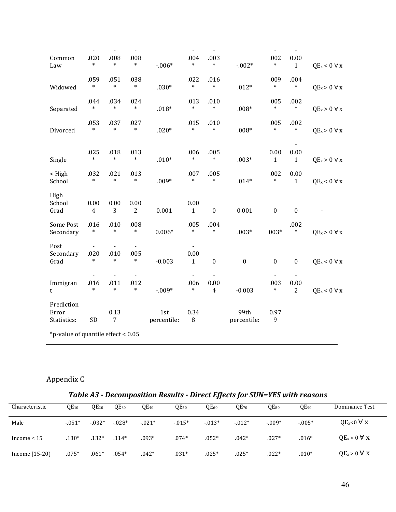| Common<br>Law                        | $\blacksquare$<br>.020<br>$\ast$ | $\overline{\phantom{a}}$<br>.008<br>$\ast$ | $\overline{\phantom{a}}$<br>.008<br>$\ast$ | $-.006*$           | $\overline{\phantom{a}}$<br>.004<br>$\ast$ | $\overline{\phantom{a}}$<br>.003<br>*    | $-0.02*$            | $\overline{\phantom{a}}$<br>.002<br>$\ast$ | $\overline{\phantom{a}}$<br>0.00<br>$\mathbf{1}$   | $QE_x < 0 \forall x$ |
|--------------------------------------|----------------------------------|--------------------------------------------|--------------------------------------------|--------------------|--------------------------------------------|------------------------------------------|---------------------|--------------------------------------------|----------------------------------------------------|----------------------|
| Widowed                              | .059<br>$\ast$                   | .051<br>$\ast$                             | .038<br>$\ast$                             | $.030*$            | .022<br>$\ast$                             | .016<br>$\ast$                           | $.012*$             | .009<br>$\ast$                             | .004<br>$\ast$                                     | $QE_x > 0 \forall x$ |
| Separated                            | .044<br>$\ast$                   | .034<br>$\ast$                             | .024<br>$\ast$                             | $.018*$            | .013<br>$\ast$                             | .010<br>$\ast$                           | $.008*$             | .005<br>$\ast$                             | .002<br>$\ast$                                     | $QE_x > 0 \forall x$ |
| Divorced                             | .053<br>$\ast$                   | .037<br>$\ast$                             | .027<br>$\ast$                             | $.020*$            | .015<br>$\ast$                             | .010<br>$\ast$                           | $.008*$             | .005<br>$\ast$                             | .002<br>$\ast$                                     | $QE_x > 0 \forall x$ |
| Single                               | .025<br>$\ast$                   | .018<br>$\ast$                             | .013<br>$\ast$                             | $.010*$            | .006<br>$\ast$                             | .005<br>$\ast$                           | $.003*$             | 0.00<br>$\mathbf 1$                        | 0.00<br>$\mathbf{1}$                               | $QE_x > 0 \forall x$ |
| < High<br>School                     | .032<br>$\ast$                   | .021<br>$\ast$                             | .013<br>$\ast$                             | $.009*$            | .007<br>$\ast$                             | .005<br>$\ast$                           | $.014*$             | .002<br>$\ast$                             | 0.00<br>$\mathbf{1}$                               | $QE_x < 0 \forall x$ |
| High<br>School<br>Grad               | 0.00<br>$\overline{4}$           | 0.00<br>3                                  | 0.00<br>2                                  | 0.001              | 0.00<br>$\mathbf{1}$                       | $\boldsymbol{0}$                         | 0.001               | $\boldsymbol{0}$                           | $\boldsymbol{0}$                                   |                      |
| Some Post<br>Secondary               | .016<br>$\ast$                   | .010<br>$\ast$                             | .008<br>$\ast$                             | $0.006*$           | .005<br>$\ast$                             | .004<br>$\ast$                           | $.003*$             | 003*                                       | .002<br>$\ast$                                     | $QE_x > 0 \forall x$ |
| Post<br>Secondary<br>Grad            | .020<br>$\ast$                   | .010<br>$\ast$                             | .005<br>$\ast$                             | $-0.003$           | 0.00<br>$\mathbf{1}$                       | $\boldsymbol{0}$                         | $\boldsymbol{0}$    | $\boldsymbol{0}$                           | $\boldsymbol{0}$                                   | $QE_x < 0 \forall x$ |
| Immigran<br>t                        | .016<br>$\ast$                   | .011<br>$\ast$                             | $\overline{\phantom{a}}$<br>.012<br>$\ast$ | $-.009*$           | .006<br>$\ast$                             | $\blacksquare$<br>0.00<br>$\overline{4}$ | $-0.003$            | $\overline{\phantom{a}}$<br>.003<br>$\ast$ | $\overline{\phantom{a}}$<br>0.00<br>$\overline{2}$ | $QE_x < 0 \forall x$ |
| Prediction<br>Error<br>Statistics:   | SD                               | 0.13<br>$\overline{7}$                     |                                            | 1st<br>percentile: | 0.34<br>8                                  |                                          | 99th<br>percentile: | 0.97<br>9                                  |                                                    |                      |
| *p-value of quantile effect < $0.05$ |                                  |                                            |                                            |                    |                                            |                                          |                     |                                            |                                                    |                      |

# Appendix C

## *Table A3 - Decomposition Results - Direct Effects for SUN=YES with reasons*

| Characteristic   | $QE_{10}$ | $QE_{20}$ | $QE_{30}$ | $QE_{40}$ | $QE_{50}$ | $QE_{60}$ | OE <sub>70</sub> | $QE_{80}$ | $QE_{90}$ | Dominance Test       |
|------------------|-----------|-----------|-----------|-----------|-----------|-----------|------------------|-----------|-----------|----------------------|
| Male             | $-0.051*$ | $-0.032*$ | $-0.028*$ | $-0.021*$ | $-0.015*$ | $-0.013*$ | $-0.012*$        | $-0.09*$  | $-0.005*$ | $QE_x<0$ $\forall$ X |
| Income $< 15$    | .130*     | $.132*$   | $.114*$   | $.093*$   | $.074*$   | $.052*$   | $.042*$          | $.027*$   | $.016*$   | $QE_x > 0 \forall x$ |
| Income $[15-20]$ | $.075*$   | $.061*$   | $.054*$   | .042*     | $.031*$   | $.025*$   | $.025*$          | $.022*$   | $.010*$   | $QE_x > 0 \forall x$ |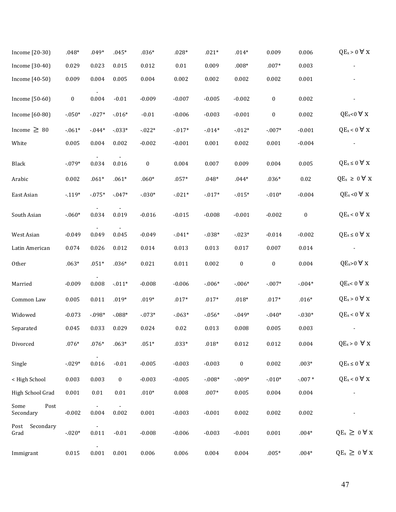| Income [20-30]            | $.048*$          | $.049*$  | $.045*$          | $.036*$          | $.028*$  | $.021*$   | $.014*$          | 0.009            | 0.006            | $QE_x > 0 \forall x$          |
|---------------------------|------------------|----------|------------------|------------------|----------|-----------|------------------|------------------|------------------|-------------------------------|
| Income [30-40]            | 0.029            | 0.023    | 0.015            | 0.012            | $0.01\,$ | 0.009     | $.008*$          | $.007*$          | 0.003            |                               |
| Income [40-50]            | 0.009            | 0.004    | 0.005            | 0.004            | 0.002    | 0.002     | 0.002            | 0.002            | 0.001            |                               |
| Income [50-60]            | $\boldsymbol{0}$ | 0.004    | $-0.01$          | $-0.009$         | $-0.007$ | $-0.005$  | $-0.002$         | $\boldsymbol{0}$ | 0.002            |                               |
| Income [60-80]            | $-0.50*$         | $-0.27*$ | $-0.016*$        | $-0.01$          | $-0.006$ | $-0.003$  | $-0.001$         | $\boldsymbol{0}$ | 0.002            | $QE_x<0$ $\forall$ x          |
| Income $\geq 80$          | $-061*$          | $-0.44*$ | $-0.33*$         | $-022*$          | $-0.17*$ | $-0.14*$  | $-0.012*$        | $-.007*$         | $-0.001$         | $QE_x < 0 \forall x$          |
| White                     | 0.005            | 0.004    | 0.002            | $-0.002$         | $-0.001$ | 0.001     | 0.002            | 0.001            | $-0.004$         |                               |
| Black                     | $-079*$          | 0.034    | 0.016            | $\boldsymbol{0}$ | 0.004    | 0.007     | 0.009            | 0.004            | 0.005            | $QE_x \leq 0 \forall x$       |
| Arabic                    | 0.002            | $.061*$  | $.061*$          | $.060*$          | $.057*$  | $.048*$   | $.044*$          | $.036*$          | $0.02\,$         | $QE_x \geq 0 \forall x$       |
| East Asian                | $-119*$          | $-0.75*$ | $-0.47*$         | $-.030*$         | $-021*$  | $-017*$   | $-0.015*$        | $-.010*$         | $-0.004$         | $QE_x < 0$ $\forall$ x        |
| South Asian               | $-0.60*$         | 0.034    | 0.019            | $-0.016$         | $-0.015$ | $-0.008$  | $-0.001$         | $-0.002$         | $\boldsymbol{0}$ | $QE_x < 0 \forall x$          |
| West Asian                | $-0.049$         | 0.049    | 0.045            | $-0.049$         | $-0.41*$ | $-0.38*$  | $-0.023*$        | $-0.014$         | $-0.002$         | $QE_x \leq 0 \; \forall \; x$ |
| Latin American            | 0.074            | 0.026    | 0.012            | 0.014            | 0.013    | 0.013     | 0.017            | 0.007            | 0.014            |                               |
| Other                     | $.063*$          | $.051*$  | $.036*$          | 0.021            | 0.011    | 0.002     | $\boldsymbol{0}$ | $\boldsymbol{0}$ | 0.004            | $QE_x>0$ $\forall$ x          |
| Married                   | $-0.009$         | 0.008    | $-0.11*$         | $-0.008$         | $-0.006$ | $-0.06*$  | $-.006*$         | $-.007*$         | $-.004*$         | $QE_x < 0 \forall x$          |
| Common Law                | 0.005            | 0.011    | $.019*$          | $.019*$          | $.017*$  | $.017*$   | $.018*$          | $.017*$          | $.016*$          | $QE_x > 0 \forall x$          |
| Widowed                   | $-0.073$         | $-.098*$ | $-.088*$         | $-073*$          | $-0.63*$ | $-0.056*$ | $-0.049*$        | $-0.40*$         | $-0.30*$         | $QE_x < 0 \forall x$          |
| Separated                 | 0.045            | 0.033    | 0.029            | 0.024            | $0.02\,$ | 0.013     | 0.008            | 0.005            | 0.003            |                               |
| Divorced                  | $.076*$          | $.076*$  | $.063*$          | $.051*$          | $.033*$  | $.018*$   | 0.012            | 0.012            | 0.004            | $QE_x > 0 \forall x$          |
| Single                    | $-029*$          | 0.016    | $-0.01$          | $-0.005$         | $-0.003$ | $-0.003$  | $\boldsymbol{0}$ | 0.002            | $.003*$          | $QE_x \leq 0 \forall x$       |
| < High School             | 0.003            | 0.003    | $\boldsymbol{0}$ | $-0.003$         | $-0.005$ | $-0.08*$  | $-.009*$         | $-0.010*$        | $-.007*$         | $QE_x < 0 \forall x$          |
| High School Grad          | 0.001            | 0.01     | 0.01             | $.010*$          | 0.008    | $.007*$   | 0.005            | 0.004            | 0.004            |                               |
| Some<br>Post<br>Secondary | $-0.002$         | 0.004    | 0.002            | 0.001            | $-0.003$ | $-0.001$  | 0.002            | 0.002            | 0.002            |                               |
| Post<br>Secondary<br>Grad | $-020*$          | 0.011    | $-0.01$          | $-0.008$         | $-0.006$ | $-0.003$  | $-0.001$         | 0.001            | $.004*$          | $QE_x \geq 0 \forall x$       |
| Immigrant                 | 0.015            | 0.001    | 0.001            | 0.006            | 0.006    | 0.004     | 0.004            | $.005*$          | $.004*$          | $QE_x \geq 0 \forall x$       |